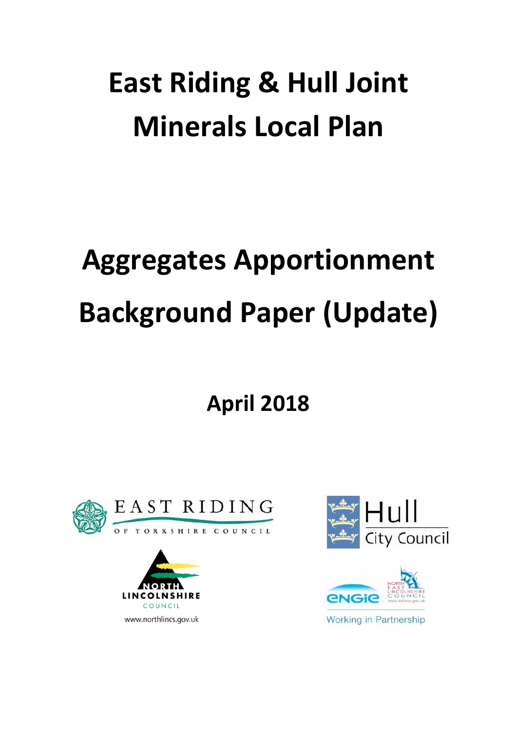## **East Riding & Hull Joint Minerals Local Plan**

# **Aggregates Apportionment Background Paper (Update)**

**April 2018**







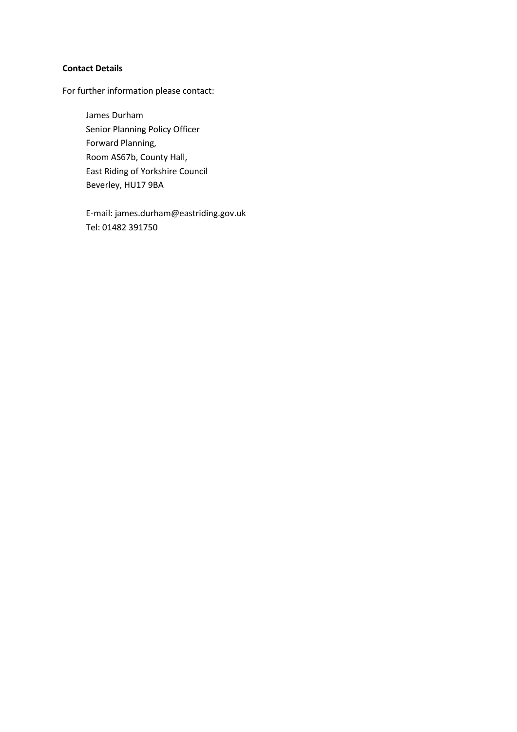#### **Contact Details**

For further information please contact:

James Durham Senior Planning Policy Officer Forward Planning, Room AS67b, County Hall, East Riding of Yorkshire Council Beverley, HU17 9BA

E-mail: james.durham@eastriding.gov.uk Tel: 01482 391750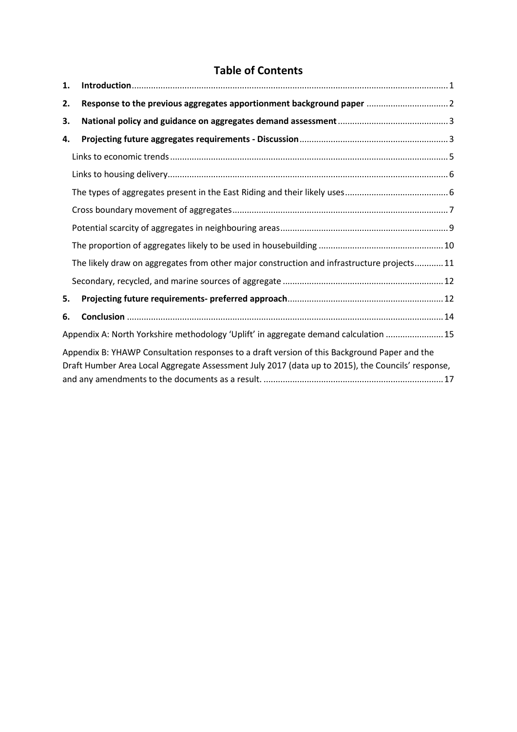### **Table of Contents**

| 1.                                                                                                                                                                                                |                                                                                            |  |  |  |
|---------------------------------------------------------------------------------------------------------------------------------------------------------------------------------------------------|--------------------------------------------------------------------------------------------|--|--|--|
| 2.                                                                                                                                                                                                | Response to the previous aggregates apportionment background paper  2                      |  |  |  |
| 3.                                                                                                                                                                                                |                                                                                            |  |  |  |
| 4.                                                                                                                                                                                                |                                                                                            |  |  |  |
|                                                                                                                                                                                                   |                                                                                            |  |  |  |
|                                                                                                                                                                                                   |                                                                                            |  |  |  |
|                                                                                                                                                                                                   |                                                                                            |  |  |  |
|                                                                                                                                                                                                   |                                                                                            |  |  |  |
|                                                                                                                                                                                                   |                                                                                            |  |  |  |
|                                                                                                                                                                                                   |                                                                                            |  |  |  |
|                                                                                                                                                                                                   | The likely draw on aggregates from other major construction and infrastructure projects 11 |  |  |  |
|                                                                                                                                                                                                   |                                                                                            |  |  |  |
| 5.                                                                                                                                                                                                |                                                                                            |  |  |  |
| 6.                                                                                                                                                                                                |                                                                                            |  |  |  |
|                                                                                                                                                                                                   | Appendix A: North Yorkshire methodology 'Uplift' in aggregate demand calculation  15       |  |  |  |
| Appendix B: YHAWP Consultation responses to a draft version of this Background Paper and the<br>Draft Humber Area Local Aggregate Assessment July 2017 (data up to 2015), the Councils' response, |                                                                                            |  |  |  |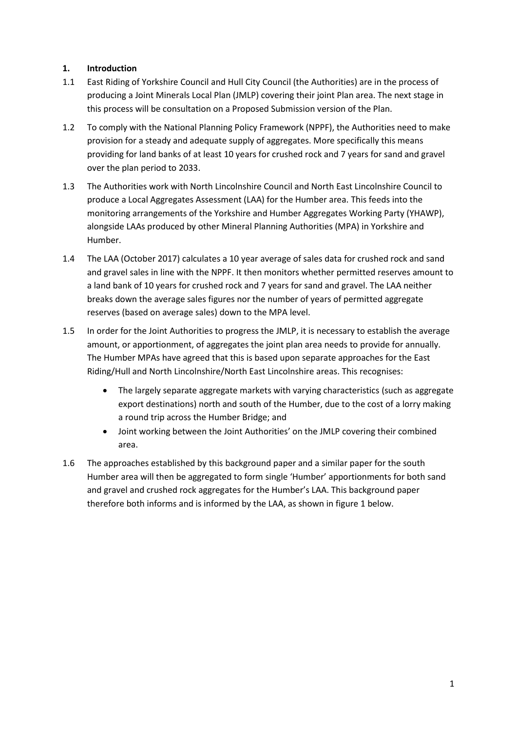#### <span id="page-4-0"></span>**1. Introduction**

- 1.1 East Riding of Yorkshire Council and Hull City Council (the Authorities) are in the process of producing a Joint Minerals Local Plan (JMLP) covering their joint Plan area. The next stage in this process will be consultation on a Proposed Submission version of the Plan.
- 1.2 To comply with the National Planning Policy Framework (NPPF), the Authorities need to make provision for a steady and adequate supply of aggregates. More specifically this means providing for land banks of at least 10 years for crushed rock and 7 years for sand and gravel over the plan period to 2033.
- 1.3 The Authorities work with North Lincolnshire Council and North East Lincolnshire Council to produce a Local Aggregates Assessment (LAA) for the Humber area. This feeds into the monitoring arrangements of the Yorkshire and Humber Aggregates Working Party (YHAWP), alongside LAAs produced by other Mineral Planning Authorities (MPA) in Yorkshire and Humber.
- 1.4 The LAA (October 2017) calculates a 10 year average of sales data for crushed rock and sand and gravel sales in line with the NPPF. It then monitors whether permitted reserves amount to a land bank of 10 years for crushed rock and 7 years for sand and gravel. The LAA neither breaks down the average sales figures nor the number of years of permitted aggregate reserves (based on average sales) down to the MPA level.
- 1.5 In order for the Joint Authorities to progress the JMLP, it is necessary to establish the average amount, or apportionment, of aggregates the joint plan area needs to provide for annually. The Humber MPAs have agreed that this is based upon separate approaches for the East Riding/Hull and North Lincolnshire/North East Lincolnshire areas. This recognises:
	- The largely separate aggregate markets with varying characteristics (such as aggregate export destinations) north and south of the Humber, due to the cost of a lorry making a round trip across the Humber Bridge; and
	- Joint working between the Joint Authorities' on the JMLP covering their combined area.
- 1.6 The approaches established by this background paper and a similar paper for the south Humber area will then be aggregated to form single 'Humber' apportionments for both sand and gravel and crushed rock aggregates for the Humber's LAA. This background paper therefore both informs and is informed by the LAA, as shown in figure 1 below.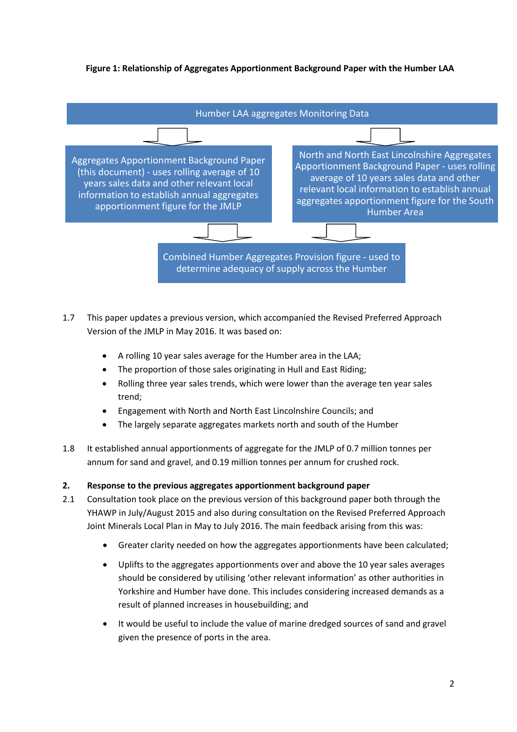#### **Figure 1: Relationship of Aggregates Apportionment Background Paper with the Humber LAA**



- 1.7 This paper updates a previous version, which accompanied the Revised Preferred Approach Version of the JMLP in May 2016. It was based on:
	- A rolling 10 year sales average for the Humber area in the LAA;
	- The proportion of those sales originating in Hull and East Riding;
	- Rolling three year sales trends, which were lower than the average ten year sales trend;
	- Engagement with North and North East Lincolnshire Councils; and
	- The largely separate aggregates markets north and south of the Humber
- 1.8 It established annual apportionments of aggregate for the JMLP of 0.7 million tonnes per annum for sand and gravel, and 0.19 million tonnes per annum for crushed rock.

#### <span id="page-5-0"></span>**2. Response to the previous aggregates apportionment background paper**

- 2.1 Consultation took place on the previous version of this background paper both through the YHAWP in July/August 2015 and also during consultation on the Revised Preferred Approach Joint Minerals Local Plan in May to July 2016. The main feedback arising from this was:
	- Greater clarity needed on how the aggregates apportionments have been calculated;
	- Uplifts to the aggregates apportionments over and above the 10 year sales averages should be considered by utilising 'other relevant information' as other authorities in Yorkshire and Humber have done. This includes considering increased demands as a result of planned increases in housebuilding; and
	- It would be useful to include the value of marine dredged sources of sand and gravel given the presence of ports in the area.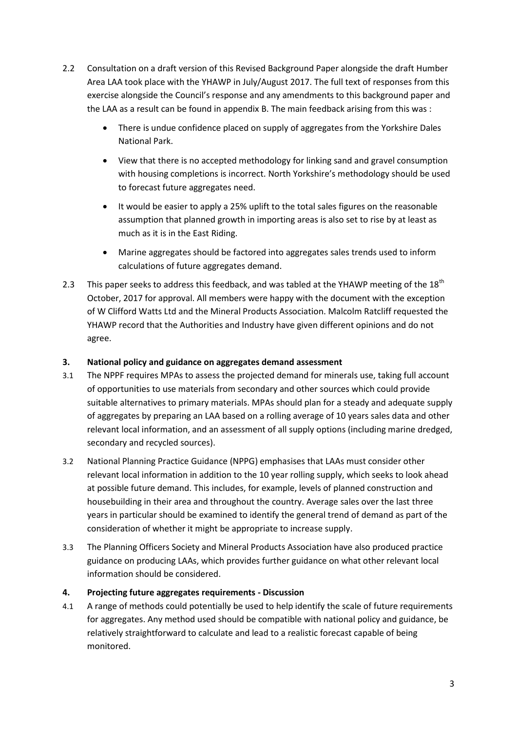- 2.2 Consultation on a draft version of this Revised Background Paper alongside the draft Humber Area LAA took place with the YHAWP in July/August 2017. The full text of responses from this exercise alongside the Council's response and any amendments to this background paper and the LAA as a result can be found in appendix B. The main feedback arising from this was :
	- There is undue confidence placed on supply of aggregates from the Yorkshire Dales National Park.
	- View that there is no accepted methodology for linking sand and gravel consumption with housing completions is incorrect. North Yorkshire's methodology should be used to forecast future aggregates need.
	- It would be easier to apply a 25% uplift to the total sales figures on the reasonable assumption that planned growth in importing areas is also set to rise by at least as much as it is in the East Riding.
	- Marine aggregates should be factored into aggregates sales trends used to inform calculations of future aggregates demand.
- 2.3 This paper seeks to address this feedback, and was tabled at the YHAWP meeting of the  $18<sup>th</sup>$ October, 2017 for approval. All members were happy with the document with the exception of W Clifford Watts Ltd and the Mineral Products Association. Malcolm Ratcliff requested the YHAWP record that the Authorities and Industry have given different opinions and do not agree.

#### <span id="page-6-0"></span>**3. National policy and guidance on aggregates demand assessment**

- 3.1 The NPPF requires MPAs to assess the projected demand for minerals use, taking full account of opportunities to use materials from secondary and other sources which could provide suitable alternatives to primary materials. MPAs should plan for a steady and adequate supply of aggregates by preparing an LAA based on a rolling average of 10 years sales data and other relevant local information, and an assessment of all supply options (including marine dredged, secondary and recycled sources).
- 3.2 National Planning Practice Guidance (NPPG) emphasises that LAAs must consider other relevant local information in addition to the 10 year rolling supply, which seeks to look ahead at possible future demand. This includes, for example, levels of planned construction and housebuilding in their area and throughout the country. Average sales over the last three years in particular should be examined to identify the general trend of demand as part of the consideration of whether it might be appropriate to increase supply.
- 3.3 The Planning Officers Society and Mineral Products Association have also produced practice guidance on producing LAAs, which provides further guidance on what other relevant local information should be considered.

#### <span id="page-6-1"></span>**4. Projecting future aggregates requirements - Discussion**

4.1 A range of methods could potentially be used to help identify the scale of future requirements for aggregates. Any method used should be compatible with national policy and guidance, be relatively straightforward to calculate and lead to a realistic forecast capable of being monitored.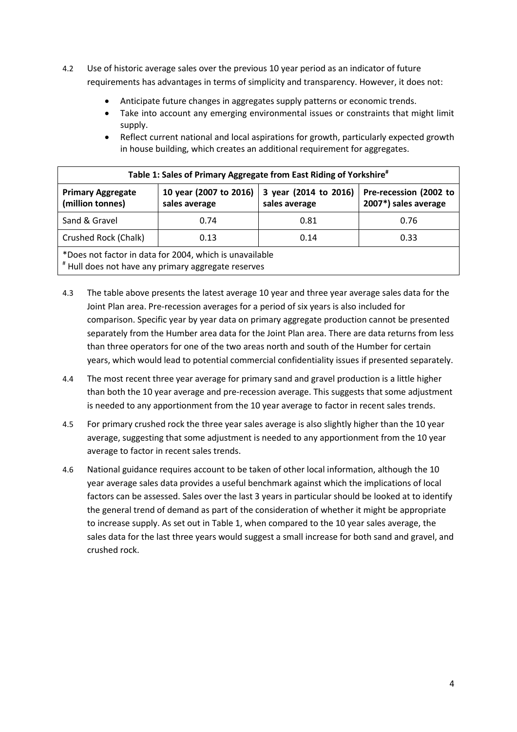- 4.2 Use of historic average sales over the previous 10 year period as an indicator of future requirements has advantages in terms of simplicity and transparency. However, it does not:
	- Anticipate future changes in aggregates supply patterns or economic trends.
	- Take into account any emerging environmental issues or constraints that might limit supply.
	- Reflect current national and local aspirations for growth, particularly expected growth in house building, which creates an additional requirement for aggregates.

| Table 1: Sales of Primary Aggregate from East Riding of Yorkshire <sup>#</sup>                                 |                                                |  |  |  |  |  |
|----------------------------------------------------------------------------------------------------------------|------------------------------------------------|--|--|--|--|--|
| <b>Primary Aggregate</b><br>(million tonnes)                                                                   | Pre-recession (2002 to<br>2007*) sales average |  |  |  |  |  |
| Sand & Gravel                                                                                                  | 0.76                                           |  |  |  |  |  |
| Crushed Rock (Chalk)<br>0.33<br>0.13<br>0.14                                                                   |                                                |  |  |  |  |  |
| *Does not factor in data for 2004, which is unavailable<br># Hull does not have any primary aggregate reserves |                                                |  |  |  |  |  |

- 4.3 The table above presents the latest average 10 year and three year average sales data for the Joint Plan area. Pre-recession averages for a period of six years is also included for comparison. Specific year by year data on primary aggregate production cannot be presented separately from the Humber area data for the Joint Plan area. There are data returns from less than three operators for one of the two areas north and south of the Humber for certain years, which would lead to potential commercial confidentiality issues if presented separately.
- 4.4 The most recent three year average for primary sand and gravel production is a little higher than both the 10 year average and pre-recession average. This suggests that some adjustment is needed to any apportionment from the 10 year average to factor in recent sales trends.
- 4.5 For primary crushed rock the three year sales average is also slightly higher than the 10 year average, suggesting that some adjustment is needed to any apportionment from the 10 year average to factor in recent sales trends.
- 4.6 National guidance requires account to be taken of other local information, although the 10 year average sales data provides a useful benchmark against which the implications of local factors can be assessed. Sales over the last 3 years in particular should be looked at to identify the general trend of demand as part of the consideration of whether it might be appropriate to increase supply. As set out in Table 1, when compared to the 10 year sales average, the sales data for the last three years would suggest a small increase for both sand and gravel, and crushed rock.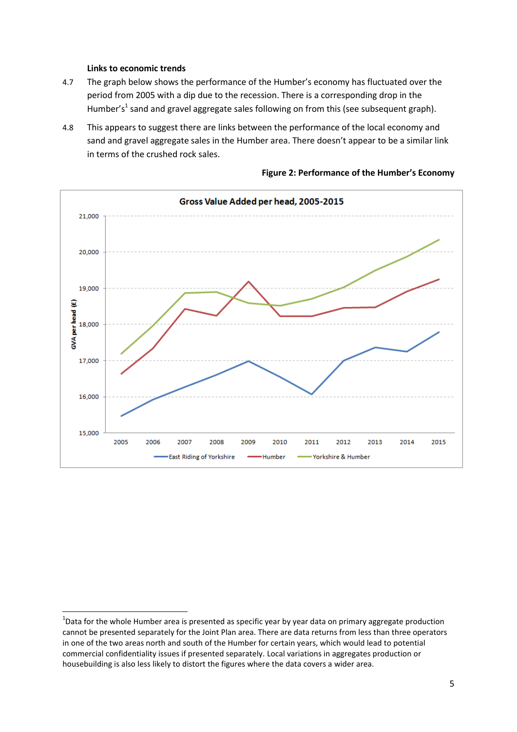#### **Links to economic trends**

- <span id="page-8-0"></span>4.7 The graph below shows the performance of the Humber's economy has fluctuated over the period from 2005 with a dip due to the recession. There is a corresponding drop in the Humber's<sup>1</sup> sand and gravel aggregate sales following on from this (see subsequent graph).
- 4.8 This appears to suggest there are links between the performance of the local economy and sand and gravel aggregate sales in the Humber area. There doesn't appear to be a similar link in terms of the crushed rock sales.



#### **Figure 2: Performance of the Humber's Economy**

 $\overline{\phantom{a}}$  $^{1}$ Data for the whole Humber area is presented as specific year by year data on primary aggregate production cannot be presented separately for the Joint Plan area. There are data returns from less than three operators in one of the two areas north and south of the Humber for certain years, which would lead to potential commercial confidentiality issues if presented separately. Local variations in aggregates production or housebuilding is also less likely to distort the figures where the data covers a wider area.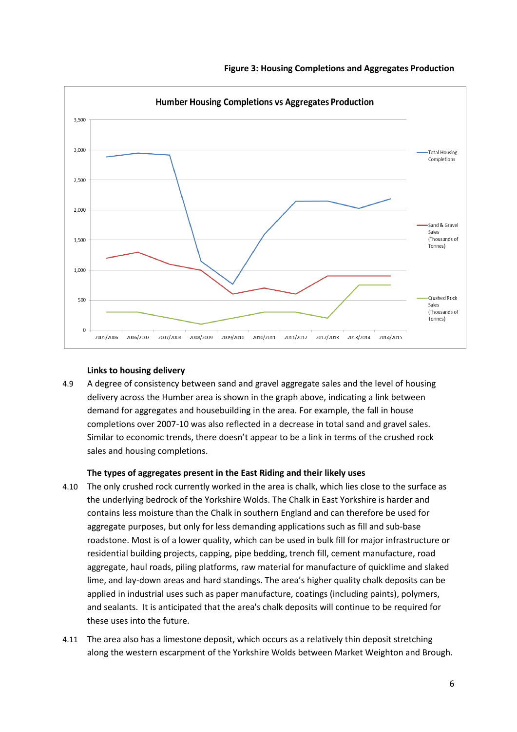



#### **Links to housing delivery**

<span id="page-9-0"></span>4.9 A degree of consistency between sand and gravel aggregate sales and the level of housing delivery across the Humber area is shown in the graph above, indicating a link between demand for aggregates and housebuilding in the area. For example, the fall in house completions over 2007-10 was also reflected in a decrease in total sand and gravel sales. Similar to economic trends, there doesn't appear to be a link in terms of the crushed rock sales and housing completions.

#### **The types of aggregates present in the East Riding and their likely uses**

- <span id="page-9-1"></span>4.10 The only crushed rock currently worked in the area is chalk, which lies close to the surface as the underlying bedrock of the Yorkshire Wolds. The Chalk in East Yorkshire is harder and contains less moisture than the Chalk in southern England and can therefore be used for aggregate purposes, but only for less demanding applications such as fill and sub-base roadstone. Most is of a lower quality, which can be used in bulk fill for major infrastructure or residential building projects, capping, pipe bedding, trench fill, cement manufacture, road aggregate, haul roads, piling platforms, raw material for manufacture of quicklime and slaked lime, and lay-down areas and hard standings. The area's higher quality chalk deposits can be applied in industrial uses such as paper manufacture, coatings (including paints), polymers, and sealants. It is anticipated that the area's chalk deposits will continue to be required for these uses into the future.
- 4.11 The area also has a limestone deposit, which occurs as a relatively thin deposit stretching along the western escarpment of the Yorkshire Wolds between Market Weighton and Brough.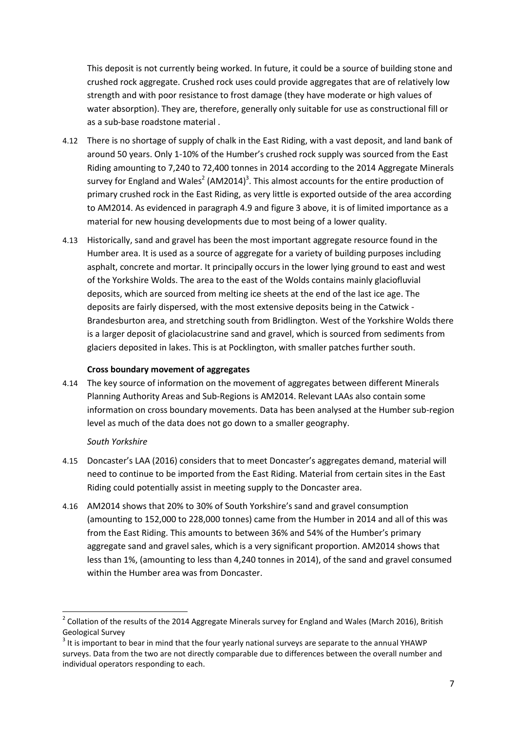This deposit is not currently being worked. In future, it could be a source of building stone and crushed rock aggregate. Crushed rock uses could provide aggregates that are of relatively low strength and with poor resistance to frost damage (they have moderate or high values of water absorption). They are, therefore, generally only suitable for use as constructional fill or as a sub-base roadstone material .

- 4.12 There is no shortage of supply of chalk in the East Riding, with a vast deposit, and land bank of around 50 years. Only 1-10% of the Humber's crushed rock supply was sourced from the East Riding amounting to 7,240 to 72,400 tonnes in 2014 according to the 2014 Aggregate Minerals survey for England and Wales<sup>2</sup> (AM2014)<sup>3</sup>. This almost accounts for the entire production of primary crushed rock in the East Riding, as very little is exported outside of the area according to AM2014. As evidenced in paragraph 4.9 and figure 3 above, it is of limited importance as a material for new housing developments due to most being of a lower quality.
- 4.13 Historically, sand and gravel has been the most important aggregate resource found in the Humber area. It is used as a source of aggregate for a variety of building purposes including asphalt, concrete and mortar. It principally occurs in the lower lying ground to east and west of the Yorkshire Wolds. The area to the east of the Wolds contains mainly glaciofluvial deposits, which are sourced from melting ice sheets at the end of the last ice age. The deposits are fairly dispersed, with the most extensive deposits being in the Catwick - Brandesburton area, and stretching south from Bridlington. West of the Yorkshire Wolds there is a larger deposit of glaciolacustrine sand and gravel, which is sourced from sediments from glaciers deposited in lakes. This is at Pocklington, with smaller patches further south.

#### **Cross boundary movement of aggregates**

<span id="page-10-0"></span>4.14 The key source of information on the movement of aggregates between different Minerals Planning Authority Areas and Sub-Regions is AM2014. Relevant LAAs also contain some information on cross boundary movements. Data has been analysed at the Humber sub-region level as much of the data does not go down to a smaller geography.

#### *South Yorkshire*

 $\overline{\phantom{a}}$ 

- 4.15 Doncaster's LAA (2016) considers that to meet Doncaster's aggregates demand, material will need to continue to be imported from the East Riding. Material from certain sites in the East Riding could potentially assist in meeting supply to the Doncaster area.
- 4.16 AM2014 shows that 20% to 30% of South Yorkshire's sand and gravel consumption (amounting to 152,000 to 228,000 tonnes) came from the Humber in 2014 and all of this was from the East Riding. This amounts to between 36% and 54% of the Humber's primary aggregate sand and gravel sales, which is a very significant proportion. AM2014 shows that less than 1%, (amounting to less than 4,240 tonnes in 2014), of the sand and gravel consumed within the Humber area was from Doncaster.

 $2$  Collation of the results of the 2014 Aggregate Minerals survey for England and Wales (March 2016), British Geological Survey

 $3$  It is important to bear in mind that the four yearly national surveys are separate to the annual YHAWP surveys. Data from the two are not directly comparable due to differences between the overall number and individual operators responding to each.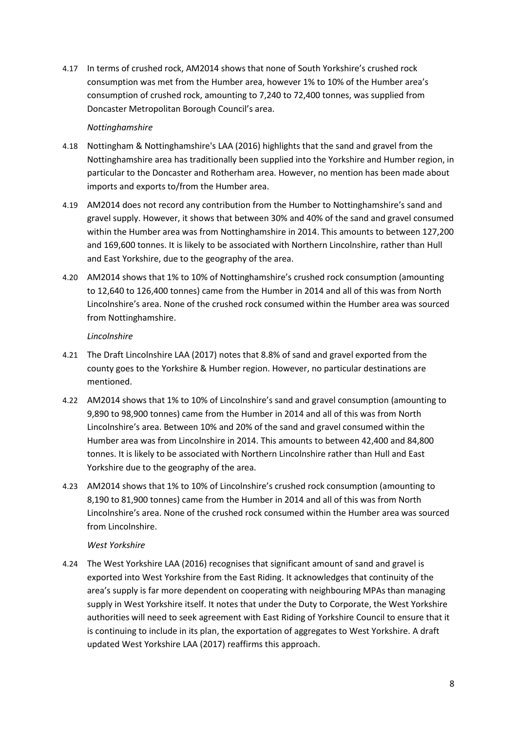4.17 In terms of crushed rock, AM2014 shows that none of South Yorkshire's crushed rock consumption was met from the Humber area, however 1% to 10% of the Humber area's consumption of crushed rock, amounting to 7,240 to 72,400 tonnes, was supplied from Doncaster Metropolitan Borough Council's area.

#### *Nottinghamshire*

- 4.18 Nottingham & Nottinghamshire's LAA (2016) highlights that the sand and gravel from the Nottinghamshire area has traditionally been supplied into the Yorkshire and Humber region, in particular to the Doncaster and Rotherham area. However, no mention has been made about imports and exports to/from the Humber area.
- 4.19 AM2014 does not record any contribution from the Humber to Nottinghamshire's sand and gravel supply. However, it shows that between 30% and 40% of the sand and gravel consumed within the Humber area was from Nottinghamshire in 2014. This amounts to between 127,200 and 169,600 tonnes. It is likely to be associated with Northern Lincolnshire, rather than Hull and East Yorkshire, due to the geography of the area.
- 4.20 AM2014 shows that 1% to 10% of Nottinghamshire's crushed rock consumption (amounting to 12,640 to 126,400 tonnes) came from the Humber in 2014 and all of this was from North Lincolnshire's area. None of the crushed rock consumed within the Humber area was sourced from Nottinghamshire.

#### *Lincolnshire*

- 4.21 The Draft Lincolnshire LAA (2017) notes that 8.8% of sand and gravel exported from the county goes to the Yorkshire & Humber region. However, no particular destinations are mentioned.
- 4.22 AM2014 shows that 1% to 10% of Lincolnshire's sand and gravel consumption (amounting to 9,890 to 98,900 tonnes) came from the Humber in 2014 and all of this was from North Lincolnshire's area. Between 10% and 20% of the sand and gravel consumed within the Humber area was from Lincolnshire in 2014. This amounts to between 42,400 and 84,800 tonnes. It is likely to be associated with Northern Lincolnshire rather than Hull and East Yorkshire due to the geography of the area.
- 4.23 AM2014 shows that 1% to 10% of Lincolnshire's crushed rock consumption (amounting to 8,190 to 81,900 tonnes) came from the Humber in 2014 and all of this was from North Lincolnshire's area. None of the crushed rock consumed within the Humber area was sourced from Lincolnshire.

#### *West Yorkshire*

4.24 The West Yorkshire LAA (2016) recognises that significant amount of sand and gravel is exported into West Yorkshire from the East Riding. It acknowledges that continuity of the area's supply is far more dependent on cooperating with neighbouring MPAs than managing supply in West Yorkshire itself. It notes that under the Duty to Corporate, the West Yorkshire authorities will need to seek agreement with East Riding of Yorkshire Council to ensure that it is continuing to include in its plan, the exportation of aggregates to West Yorkshire. A draft updated West Yorkshire LAA (2017) reaffirms this approach.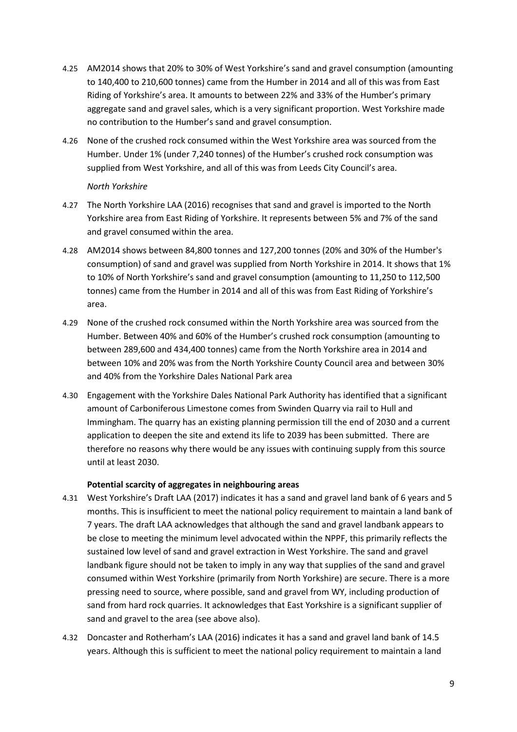- 4.25 AM2014 shows that 20% to 30% of West Yorkshire's sand and gravel consumption (amounting to 140,400 to 210,600 tonnes) came from the Humber in 2014 and all of this was from East Riding of Yorkshire's area. It amounts to between 22% and 33% of the Humber's primary aggregate sand and gravel sales, which is a very significant proportion. West Yorkshire made no contribution to the Humber's sand and gravel consumption.
- 4.26 None of the crushed rock consumed within the West Yorkshire area was sourced from the Humber. Under 1% (under 7,240 tonnes) of the Humber's crushed rock consumption was supplied from West Yorkshire, and all of this was from Leeds City Council's area.

#### *North Yorkshire*

- 4.27 The North Yorkshire LAA (2016) recognises that sand and gravel is imported to the North Yorkshire area from East Riding of Yorkshire. It represents between 5% and 7% of the sand and gravel consumed within the area.
- 4.28 AM2014 shows between 84,800 tonnes and 127,200 tonnes (20% and 30% of the Humber's consumption) of sand and gravel was supplied from North Yorkshire in 2014. It shows that 1% to 10% of North Yorkshire's sand and gravel consumption (amounting to 11,250 to 112,500 tonnes) came from the Humber in 2014 and all of this was from East Riding of Yorkshire's area.
- 4.29 None of the crushed rock consumed within the North Yorkshire area was sourced from the Humber. Between 40% and 60% of the Humber's crushed rock consumption (amounting to between 289,600 and 434,400 tonnes) came from the North Yorkshire area in 2014 and between 10% and 20% was from the North Yorkshire County Council area and between 30% and 40% from the Yorkshire Dales National Park area
- 4.30 Engagement with the Yorkshire Dales National Park Authority has identified that a significant amount of Carboniferous Limestone comes from Swinden Quarry via rail to Hull and Immingham. The quarry has an existing planning permission till the end of 2030 and a current application to deepen the site and extend its life to 2039 has been submitted. There are therefore no reasons why there would be any issues with continuing supply from this source until at least 2030.

#### **Potential scarcity of aggregates in neighbouring areas**

- <span id="page-12-0"></span>4.31 West Yorkshire's Draft LAA (2017) indicates it has a sand and gravel land bank of 6 years and 5 months. This is insufficient to meet the national policy requirement to maintain a land bank of 7 years. The draft LAA acknowledges that although the sand and gravel landbank appears to be close to meeting the minimum level advocated within the NPPF, this primarily reflects the sustained low level of sand and gravel extraction in West Yorkshire. The sand and gravel landbank figure should not be taken to imply in any way that supplies of the sand and gravel consumed within West Yorkshire (primarily from North Yorkshire) are secure. There is a more pressing need to source, where possible, sand and gravel from WY, including production of sand from hard rock quarries. It acknowledges that East Yorkshire is a significant supplier of sand and gravel to the area (see above also).
- 4.32 Doncaster and Rotherham's LAA (2016) indicates it has a sand and gravel land bank of 14.5 years. Although this is sufficient to meet the national policy requirement to maintain a land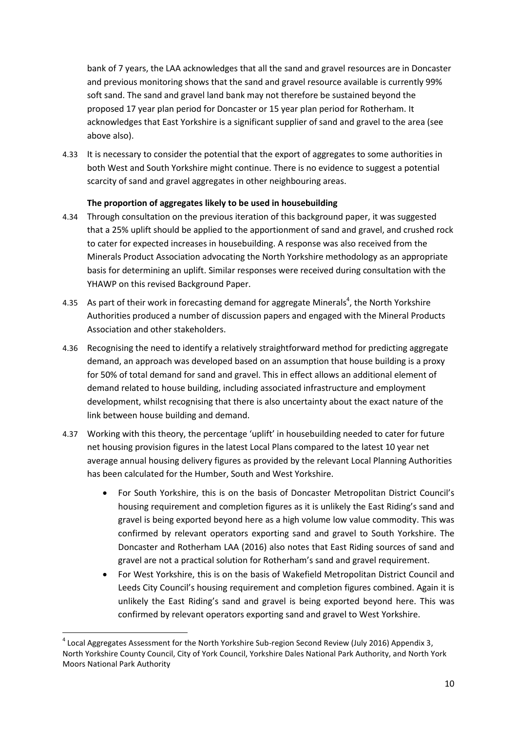bank of 7 years, the LAA acknowledges that all the sand and gravel resources are in Doncaster and previous monitoring shows that the sand and gravel resource available is currently 99% soft sand. The sand and gravel land bank may not therefore be sustained beyond the proposed 17 year plan period for Doncaster or 15 year plan period for Rotherham. It acknowledges that East Yorkshire is a significant supplier of sand and gravel to the area (see above also).

4.33 It is necessary to consider the potential that the export of aggregates to some authorities in both West and South Yorkshire might continue. There is no evidence to suggest a potential scarcity of sand and gravel aggregates in other neighbouring areas.

#### **The proportion of aggregates likely to be used in housebuilding**

- <span id="page-13-0"></span>4.34 Through consultation on the previous iteration of this background paper, it was suggested that a 25% uplift should be applied to the apportionment of sand and gravel, and crushed rock to cater for expected increases in housebuilding. A response was also received from the Minerals Product Association advocating the North Yorkshire methodology as an appropriate basis for determining an uplift. Similar responses were received during consultation with the YHAWP on this revised Background Paper.
- 4.35 As part of their work in forecasting demand for aggregate Minerals<sup>4</sup>, the North Yorkshire Authorities produced a number of discussion papers and engaged with the Mineral Products Association and other stakeholders.
- 4.36 Recognising the need to identify a relatively straightforward method for predicting aggregate demand, an approach was developed based on an assumption that house building is a proxy for 50% of total demand for sand and gravel. This in effect allows an additional element of demand related to house building, including associated infrastructure and employment development, whilst recognising that there is also uncertainty about the exact nature of the link between house building and demand.
- 4.37 Working with this theory, the percentage 'uplift' in housebuilding needed to cater for future net housing provision figures in the latest Local Plans compared to the latest 10 year net average annual housing delivery figures as provided by the relevant Local Planning Authorities has been calculated for the Humber, South and West Yorkshire.
	- For South Yorkshire, this is on the basis of Doncaster Metropolitan District Council's housing requirement and completion figures as it is unlikely the East Riding's sand and gravel is being exported beyond here as a high volume low value commodity. This was confirmed by relevant operators exporting sand and gravel to South Yorkshire. The Doncaster and Rotherham LAA (2016) also notes that East Riding sources of sand and gravel are not a practical solution for Rotherham's sand and gravel requirement.
	- For West Yorkshire, this is on the basis of Wakefield Metropolitan District Council and Leeds City Council's housing requirement and completion figures combined. Again it is unlikely the East Riding's sand and gravel is being exported beyond here. This was confirmed by relevant operators exporting sand and gravel to West Yorkshire.

**.** 

 $^4$  Local Aggregates Assessment for the North Yorkshire Sub-region Second Review (July 2016) Appendix 3, North Yorkshire County Council, City of York Council, Yorkshire Dales National Park Authority, and North York Moors National Park Authority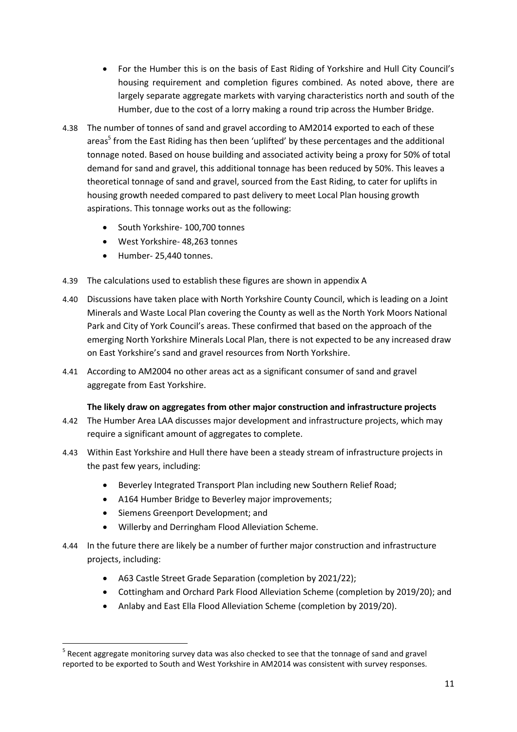- For the Humber this is on the basis of East Riding of Yorkshire and Hull City Council's housing requirement and completion figures combined. As noted above, there are largely separate aggregate markets with varying characteristics north and south of the Humber, due to the cost of a lorry making a round trip across the Humber Bridge.
- 4.38 The number of tonnes of sand and gravel according to AM2014 exported to each of these areas<sup>5</sup> from the East Riding has then been 'uplifted' by these percentages and the additional tonnage noted. Based on house building and associated activity being a proxy for 50% of total demand for sand and gravel, this additional tonnage has been reduced by 50%. This leaves a theoretical tonnage of sand and gravel, sourced from the East Riding, to cater for uplifts in housing growth needed compared to past delivery to meet Local Plan housing growth aspirations. This tonnage works out as the following:
	- South Yorkshire- 100,700 tonnes
	- West Yorkshire- 48,263 tonnes
	- Humber- 25,440 tonnes.
- 4.39 The calculations used to establish these figures are shown in appendix A
- 4.40 Discussions have taken place with North Yorkshire County Council, which is leading on a Joint Minerals and Waste Local Plan covering the County as well as the North York Moors National Park and City of York Council's areas. These confirmed that based on the approach of the emerging North Yorkshire Minerals Local Plan, there is not expected to be any increased draw on East Yorkshire's sand and gravel resources from North Yorkshire.
- 4.41 According to AM2004 no other areas act as a significant consumer of sand and gravel aggregate from East Yorkshire.

#### **The likely draw on aggregates from other major construction and infrastructure projects**

- <span id="page-14-0"></span>4.42 The Humber Area LAA discusses major development and infrastructure projects, which may require a significant amount of aggregates to complete.
- 4.43 Within East Yorkshire and Hull there have been a steady stream of infrastructure projects in the past few years, including:
	- Beverley Integrated Transport Plan including new Southern Relief Road;
	- A164 Humber Bridge to Beverley major improvements;
	- Siemens Greenport Development; and
	- Willerby and Derringham Flood Alleviation Scheme.
- 4.44 In the future there are likely be a number of further major construction and infrastructure projects, including:
	- A63 Castle Street Grade Separation (completion by 2021/22);
	- Cottingham and Orchard Park Flood Alleviation Scheme (completion by 2019/20); and
	- Anlaby and East Ella Flood Alleviation Scheme (completion by 2019/20).

**<sup>.</sup>** <sup>5</sup> Recent aggregate monitoring survey data was also checked to see that the tonnage of sand and gravel reported to be exported to South and West Yorkshire in AM2014 was consistent with survey responses.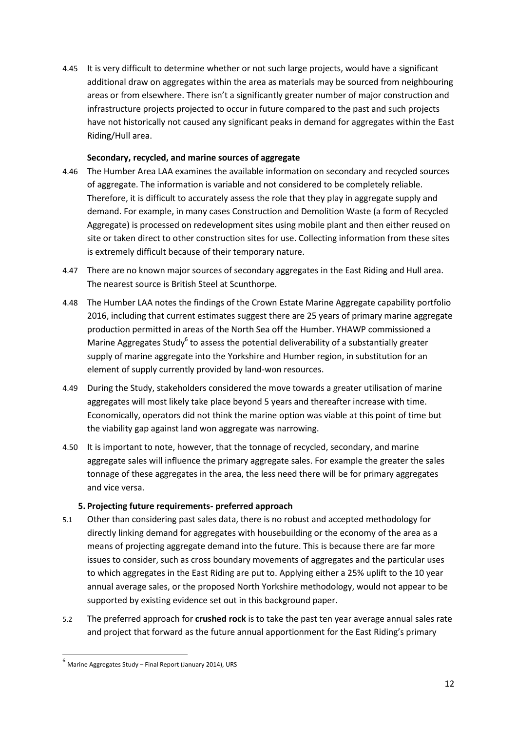4.45 It is very difficult to determine whether or not such large projects, would have a significant additional draw on aggregates within the area as materials may be sourced from neighbouring areas or from elsewhere. There isn't a significantly greater number of major construction and infrastructure projects projected to occur in future compared to the past and such projects have not historically not caused any significant peaks in demand for aggregates within the East Riding/Hull area.

#### **Secondary, recycled, and marine sources of aggregate**

- <span id="page-15-0"></span>4.46 The Humber Area LAA examines the available information on secondary and recycled sources of aggregate. The information is variable and not considered to be completely reliable. Therefore, it is difficult to accurately assess the role that they play in aggregate supply and demand. For example, in many cases Construction and Demolition Waste (a form of Recycled Aggregate) is processed on redevelopment sites using mobile plant and then either reused on site or taken direct to other construction sites for use. Collecting information from these sites is extremely difficult because of their temporary nature.
- 4.47 There are no known major sources of secondary aggregates in the East Riding and Hull area. The nearest source is British Steel at Scunthorpe.
- 4.48 The Humber LAA notes the findings of the Crown Estate Marine Aggregate capability portfolio 2016, including that current estimates suggest there are 25 years of primary marine aggregate production permitted in areas of the North Sea off the Humber. YHAWP commissioned a Marine Aggregates Study<sup>6</sup> to assess the potential deliverability of a substantially greater supply of marine aggregate into the Yorkshire and Humber region, in substitution for an element of supply currently provided by land-won resources.
- 4.49 During the Study, stakeholders considered the move towards a greater utilisation of marine aggregates will most likely take place beyond 5 years and thereafter increase with time. Economically, operators did not think the marine option was viable at this point of time but the viability gap against land won aggregate was narrowing.
- 4.50 It is important to note, however, that the tonnage of recycled, secondary, and marine aggregate sales will influence the primary aggregate sales. For example the greater the sales tonnage of these aggregates in the area, the less need there will be for primary aggregates and vice versa.

#### **5. Projecting future requirements- preferred approach**

- <span id="page-15-1"></span>5.1 Other than considering past sales data, there is no robust and accepted methodology for directly linking demand for aggregates with housebuilding or the economy of the area as a means of projecting aggregate demand into the future. This is because there are far more issues to consider, such as cross boundary movements of aggregates and the particular uses to which aggregates in the East Riding are put to. Applying either a 25% uplift to the 10 year annual average sales, or the proposed North Yorkshire methodology, would not appear to be supported by existing evidence set out in this background paper.
- 5.2 The preferred approach for **crushed rock** is to take the past ten year average annual sales rate and project that forward as the future annual apportionment for the East Riding's primary

**.** 

 $^6$  Marine Aggregates Study – Final Report (January 2014), URS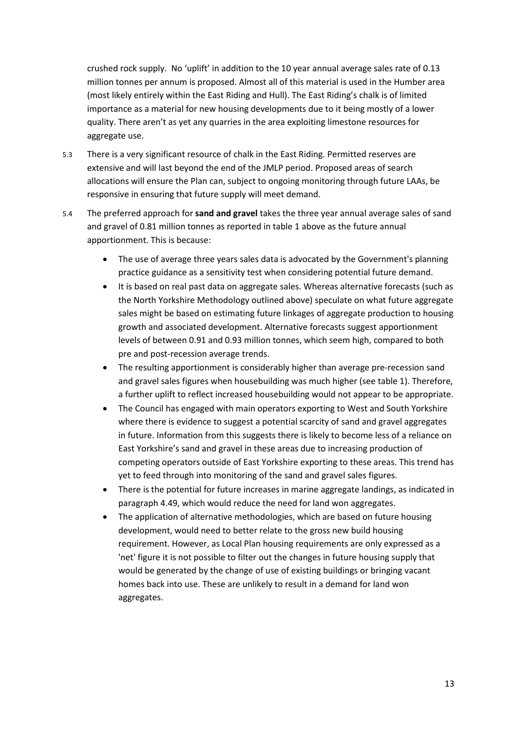crushed rock supply. No 'uplift' in addition to the 10 year annual average sales rate of 0.13 million tonnes per annum is proposed. Almost all of this material is used in the Humber area (most likely entirely within the East Riding and Hull). The East Riding's chalk is of limited importance as a material for new housing developments due to it being mostly of a lower quality. There aren't as yet any quarries in the area exploiting limestone resources for aggregate use.

- 5.3 There is a very significant resource of chalk in the East Riding. Permitted reserves are extensive and will last beyond the end of the JMLP period. Proposed areas of search allocations will ensure the Plan can, subject to ongoing monitoring through future LAAs, be responsive in ensuring that future supply will meet demand.
- 5.4 The preferred approach for **sand and gravel** takes the three year annual average sales of sand and gravel of 0.81 million tonnes as reported in table 1 above as the future annual apportionment. This is because:
	- The use of average three years sales data is advocated by the Government's planning practice guidance as a sensitivity test when considering potential future demand.
	- It is based on real past data on aggregate sales. Whereas alternative forecasts (such as the North Yorkshire Methodology outlined above) speculate on what future aggregate sales might be based on estimating future linkages of aggregate production to housing growth and associated development. Alternative forecasts suggest apportionment levels of between 0.91 and 0.93 million tonnes, which seem high, compared to both pre and post-recession average trends.
	- The resulting apportionment is considerably higher than average pre-recession sand and gravel sales figures when housebuilding was much higher (see table 1). Therefore, a further uplift to reflect increased housebuilding would not appear to be appropriate.
	- The Council has engaged with main operators exporting to West and South Yorkshire where there is evidence to suggest a potential scarcity of sand and gravel aggregates in future. Information from this suggests there is likely to become less of a reliance on East Yorkshire's sand and gravel in these areas due to increasing production of competing operators outside of East Yorkshire exporting to these areas. This trend has yet to feed through into monitoring of the sand and gravel sales figures.
	- There is the potential for future increases in marine aggregate landings, as indicated in paragraph 4.49, which would reduce the need for land won aggregates.
	- The application of alternative methodologies, which are based on future housing development, would need to better relate to the gross new build housing requirement. However, as Local Plan housing requirements are only expressed as a 'net' figure it is not possible to filter out the changes in future housing supply that would be generated by the change of use of existing buildings or bringing vacant homes back into use. These are unlikely to result in a demand for land won aggregates.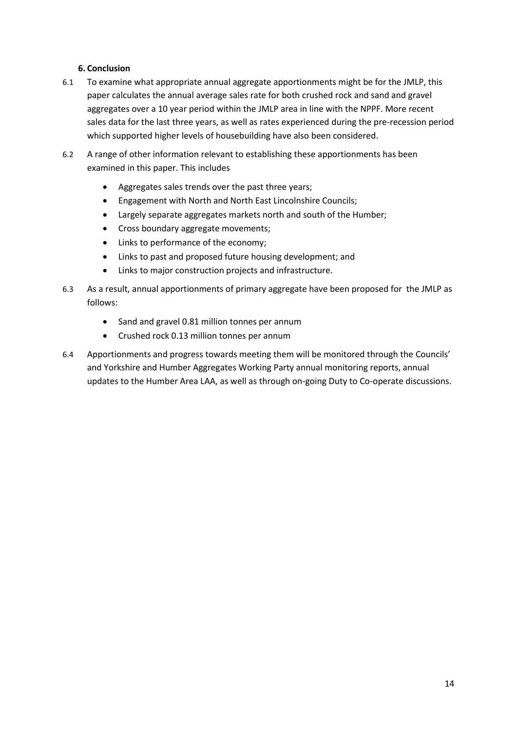#### **6. Conclusion**

- <span id="page-17-0"></span>6.1 To examine what appropriate annual aggregate apportionments might be for the JMLP, this paper calculates the annual average sales rate for both crushed rock and sand and gravel aggregates over a 10 year period within the JMLP area in line with the NPPF. More recent sales data for the last three years, as well as rates experienced during the pre-recession period which supported higher levels of housebuilding have also been considered.
- 6.2 A range of other information relevant to establishing these apportionments has been examined in this paper. This includes
	- Aggregates sales trends over the past three years;
	- Engagement with North and North East Lincolnshire Councils;
	- Largely separate aggregates markets north and south of the Humber;
	- Cross boundary aggregate movements;
	- Links to performance of the economy;
	- Links to past and proposed future housing development; and
	- Links to major construction projects and infrastructure.
- 6.3 As a result, annual apportionments of primary aggregate have been proposed for the JMLP as follows:
	- Sand and gravel 0.81 million tonnes per annum
	- Crushed rock 0.13 million tonnes per annum
- 6.4 Apportionments and progress towards meeting them will be monitored through the Councils' and Yorkshire and Humber Aggregates Working Party annual monitoring reports, annual updates to the Humber Area LAA, as well as through on-going Duty to Co-operate discussions.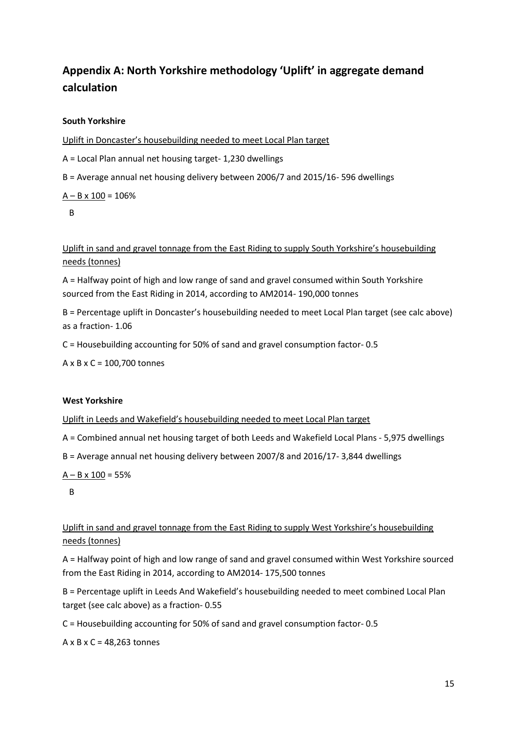## <span id="page-18-0"></span>**Appendix A: North Yorkshire methodology 'Uplift' in aggregate demand calculation**

#### **South Yorkshire**

Uplift in Doncaster's housebuilding needed to meet Local Plan target

A = Local Plan annual net housing target- 1,230 dwellings

B = Average annual net housing delivery between 2006/7 and 2015/16- 596 dwellings

 $A - B \times 100 = 106\%$ 

B

Uplift in sand and gravel tonnage from the East Riding to supply South Yorkshire's housebuilding needs (tonnes)

A = Halfway point of high and low range of sand and gravel consumed within South Yorkshire sourced from the East Riding in 2014, according to AM2014- 190,000 tonnes

B = Percentage uplift in Doncaster's housebuilding needed to meet Local Plan target (see calc above) as a fraction- 1.06

C = Housebuilding accounting for 50% of sand and gravel consumption factor- 0.5

A x B x C = 100,700 tonnes

#### **West Yorkshire**

Uplift in Leeds and Wakefield's housebuilding needed to meet Local Plan target

A = Combined annual net housing target of both Leeds and Wakefield Local Plans - 5,975 dwellings

B = Average annual net housing delivery between 2007/8 and 2016/17- 3,844 dwellings

 $A - B \times 100 = 55%$ 

B

Uplift in sand and gravel tonnage from the East Riding to supply West Yorkshire's housebuilding needs (tonnes)

A = Halfway point of high and low range of sand and gravel consumed within West Yorkshire sourced from the East Riding in 2014, according to AM2014- 175,500 tonnes

B = Percentage uplift in Leeds And Wakefield's housebuilding needed to meet combined Local Plan target (see calc above) as a fraction- 0.55

C = Housebuilding accounting for 50% of sand and gravel consumption factor- 0.5

A x B x C = 48,263 tonnes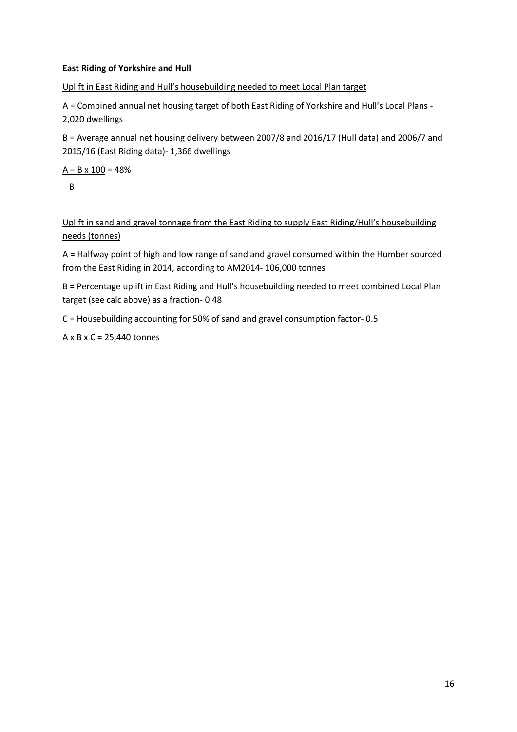#### **East Riding of Yorkshire and Hull**

Uplift in East Riding and Hull's housebuilding needed to meet Local Plan target

A = Combined annual net housing target of both East Riding of Yorkshire and Hull's Local Plans - 2,020 dwellings

B = Average annual net housing delivery between 2007/8 and 2016/17 (Hull data) and 2006/7 and 2015/16 (East Riding data)- 1,366 dwellings

 $A - B \times 100 = 48%$ B

Uplift in sand and gravel tonnage from the East Riding to supply East Riding/Hull's housebuilding needs (tonnes)

A = Halfway point of high and low range of sand and gravel consumed within the Humber sourced from the East Riding in 2014, according to AM2014- 106,000 tonnes

B = Percentage uplift in East Riding and Hull's housebuilding needed to meet combined Local Plan target (see calc above) as a fraction- 0.48

C = Housebuilding accounting for 50% of sand and gravel consumption factor- 0.5

A x B x C = 25,440 tonnes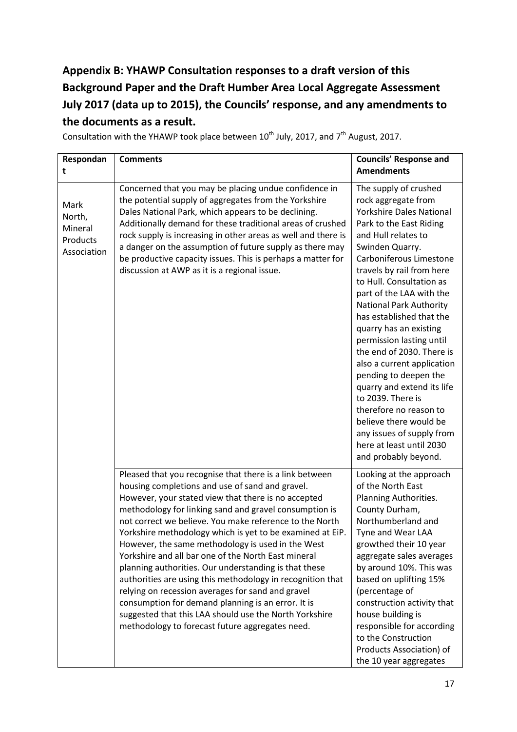## <span id="page-20-0"></span>**Appendix B: YHAWP Consultation responses to a draft version of this Background Paper and the Draft Humber Area Local Aggregate Assessment July 2017 (data up to 2015), the Councils' response, and any amendments to the documents as a result.**

Consultation with the YHAWP took place between  $10^{th}$  July, 2017, and  $7^{th}$  August, 2017.

| Respondan<br>t                                       | <b>Comments</b>                                                                                                                                                                                                                                                                                                                                                                                                                                                                                                                                                                                                                                                                                                                                                                                                | <b>Councils' Response and</b><br><b>Amendments</b>                                                                                                                                                                                                                                                                                                                                                                                                                                                                                                                                                                                                                   |
|------------------------------------------------------|----------------------------------------------------------------------------------------------------------------------------------------------------------------------------------------------------------------------------------------------------------------------------------------------------------------------------------------------------------------------------------------------------------------------------------------------------------------------------------------------------------------------------------------------------------------------------------------------------------------------------------------------------------------------------------------------------------------------------------------------------------------------------------------------------------------|----------------------------------------------------------------------------------------------------------------------------------------------------------------------------------------------------------------------------------------------------------------------------------------------------------------------------------------------------------------------------------------------------------------------------------------------------------------------------------------------------------------------------------------------------------------------------------------------------------------------------------------------------------------------|
| Mark<br>North,<br>Mineral<br>Products<br>Association | Concerned that you may be placing undue confidence in<br>the potential supply of aggregates from the Yorkshire<br>Dales National Park, which appears to be declining.<br>Additionally demand for these traditional areas of crushed<br>rock supply is increasing in other areas as well and there is<br>a danger on the assumption of future supply as there may<br>be productive capacity issues. This is perhaps a matter for<br>discussion at AWP as it is a regional issue.                                                                                                                                                                                                                                                                                                                                | The supply of crushed<br>rock aggregate from<br><b>Yorkshire Dales National</b><br>Park to the East Riding<br>and Hull relates to<br>Swinden Quarry.<br>Carboniferous Limestone<br>travels by rail from here<br>to Hull. Consultation as<br>part of the LAA with the<br><b>National Park Authority</b><br>has established that the<br>quarry has an existing<br>permission lasting until<br>the end of 2030. There is<br>also a current application<br>pending to deepen the<br>quarry and extend its life<br>to 2039. There is<br>therefore no reason to<br>believe there would be<br>any issues of supply from<br>here at least until 2030<br>and probably beyond. |
|                                                      | Pleased that you recognise that there is a link between<br>housing completions and use of sand and gravel.<br>However, your stated view that there is no accepted<br>methodology for linking sand and gravel consumption is<br>not correct we believe. You make reference to the North<br>Yorkshire methodology which is yet to be examined at EiP.<br>However, the same methodology is used in the West<br>Yorkshire and all bar one of the North East mineral<br>planning authorities. Our understanding is that these<br>authorities are using this methodology in recognition that<br>relying on recession averages for sand and gravel<br>consumption for demand planning is an error. It is<br>suggested that this LAA should use the North Yorkshire<br>methodology to forecast future aggregates need. | Looking at the approach<br>of the North East<br>Planning Authorities.<br>County Durham,<br>Northumberland and<br>Tyne and Wear LAA<br>growthed their 10 year<br>aggregate sales averages<br>by around 10%. This was<br>based on uplifting 15%<br>(percentage of<br>construction activity that<br>house building is<br>responsible for according<br>to the Construction<br>Products Association) of<br>the 10 year aggregates                                                                                                                                                                                                                                         |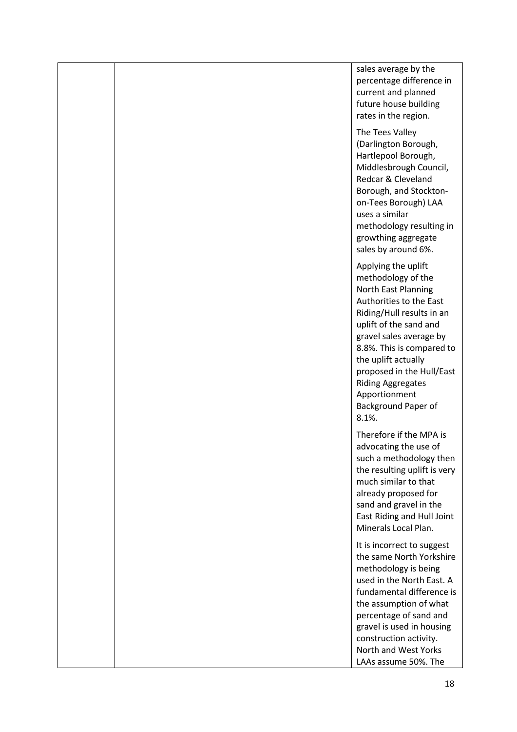sales average by the percentage difference in current and planned future house building rates in the region. The Tees Valley (Darlington Borough, Hartlepool Borough, Middlesbrough Council, Redcar & Cleveland

Borough, and Stocktonon-Tees Borough) LAA uses a similar methodology resulting in growthing aggregate sales by around 6%.

Applying the uplift methodology of the North East Planning Authorities to the East Riding/Hull results in an uplift of the sand and gravel sales average by 8.8%. This is compared to the uplift actually proposed in the Hull/East Riding Aggregates Apportionment Background Paper of 8.1%.

Therefore if the MPA is advocating the use of such a methodology then the resulting uplift is very much similar to that already proposed for sand and gravel in the East Riding and Hull Joint Minerals Local Plan.

It is incorrect to suggest the same North Yorkshire methodology is being used in the North East. A fundamental difference is the assumption of what percentage of sand and gravel is used in housing construction activity. North and West Yorks LAAs assume 50%. The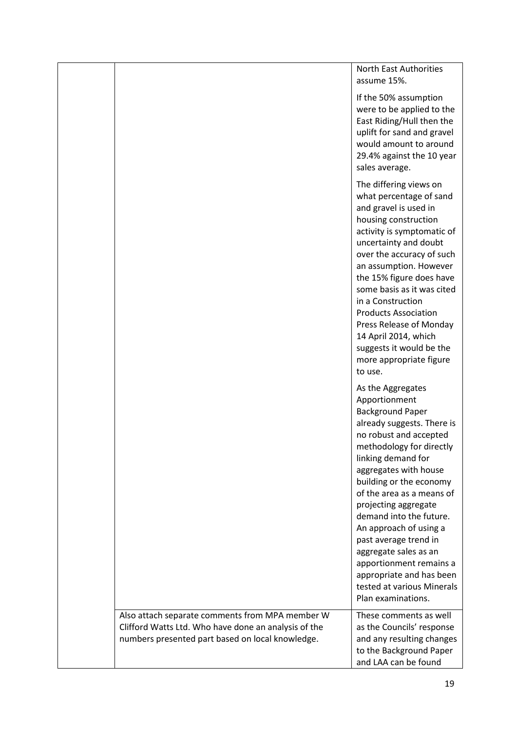North East Authorities assume 15%. If the 50% assumption were to be applied to the East Riding/Hull then the uplift for sand and gravel would amount to around 29.4% against the 10 year sales average. The differing views on what percentage of sand and gravel is used in housing construction activity is symptomatic of uncertainty and doubt over the accuracy of such an assumption. However the 15% figure does have some basis as it was cited in a Construction Products Association Press Release of Monday 14 April 2014, which suggests it would be the more appropriate figure to use. As the Aggregates Apportionment Background Paper already suggests. There is no robust and accepted methodology for directly linking demand for aggregates with house building or the economy of the area as a means of projecting aggregate demand into the future. An approach of using a past average trend in aggregate sales as an apportionment remains a appropriate and has been tested at various Minerals Plan examinations. Also attach separate comments from MPA member W Clifford Watts Ltd. Who have done an analysis of the numbers presented part based on local knowledge. These comments as well as the Councils' response and any resulting changes to the Background Paper and LAA can be found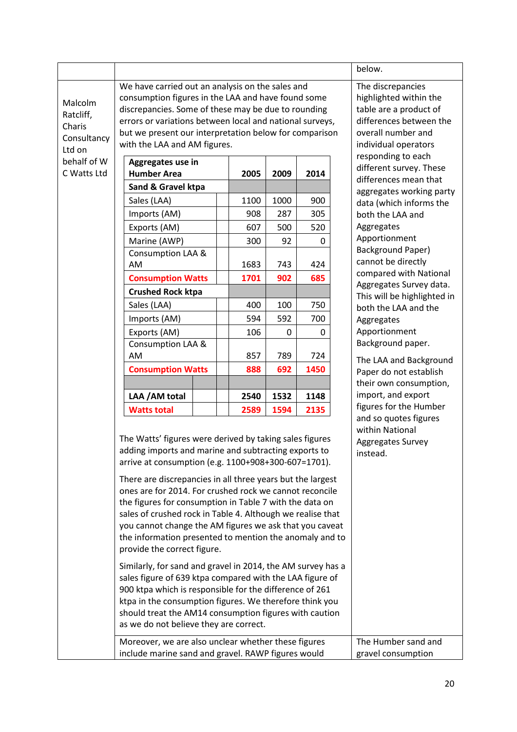|                                                                                                           |                                                                                                                                                                                                                                                                                                                                                                                                                                                                                                                                                                                                                                                                                                                                                                                                                                                                                                                                    |                                                                                                                                                                                                                                                                                                                                                                                   |      |                                           | below.                                                                    |
|-----------------------------------------------------------------------------------------------------------|------------------------------------------------------------------------------------------------------------------------------------------------------------------------------------------------------------------------------------------------------------------------------------------------------------------------------------------------------------------------------------------------------------------------------------------------------------------------------------------------------------------------------------------------------------------------------------------------------------------------------------------------------------------------------------------------------------------------------------------------------------------------------------------------------------------------------------------------------------------------------------------------------------------------------------|-----------------------------------------------------------------------------------------------------------------------------------------------------------------------------------------------------------------------------------------------------------------------------------------------------------------------------------------------------------------------------------|------|-------------------------------------------|---------------------------------------------------------------------------|
| Malcolm<br>Ratcliff,<br>Charis<br>Consultancy<br>Ltd on                                                   | We have carried out an analysis on the sales and<br>with the LAA and AM figures.                                                                                                                                                                                                                                                                                                                                                                                                                                                                                                                                                                                                                                                                                                                                                                                                                                                   | The discrepancies<br>highlighted within the<br>consumption figures in the LAA and have found some<br>table are a product of<br>discrepancies. Some of these may be due to rounding<br>errors or variations between local and national surveys,<br>differences between the<br>but we present our interpretation below for comparison<br>overall number and<br>individual operators |      |                                           |                                                                           |
| behalf of W                                                                                               | Aggregates use in                                                                                                                                                                                                                                                                                                                                                                                                                                                                                                                                                                                                                                                                                                                                                                                                                                                                                                                  |                                                                                                                                                                                                                                                                                                                                                                                   |      |                                           | responding to each<br>different survey. These                             |
| C Watts Ltd                                                                                               | <b>Humber Area</b>                                                                                                                                                                                                                                                                                                                                                                                                                                                                                                                                                                                                                                                                                                                                                                                                                                                                                                                 | 2005                                                                                                                                                                                                                                                                                                                                                                              | 2009 | 2014                                      | differences mean that                                                     |
|                                                                                                           | Sand & Gravel ktpa                                                                                                                                                                                                                                                                                                                                                                                                                                                                                                                                                                                                                                                                                                                                                                                                                                                                                                                 |                                                                                                                                                                                                                                                                                                                                                                                   |      |                                           | aggregates working party                                                  |
|                                                                                                           | Sales (LAA)                                                                                                                                                                                                                                                                                                                                                                                                                                                                                                                                                                                                                                                                                                                                                                                                                                                                                                                        | 1100                                                                                                                                                                                                                                                                                                                                                                              | 1000 | 900                                       | data (which informs the                                                   |
|                                                                                                           | Imports (AM)                                                                                                                                                                                                                                                                                                                                                                                                                                                                                                                                                                                                                                                                                                                                                                                                                                                                                                                       | 908                                                                                                                                                                                                                                                                                                                                                                               | 287  | 305                                       | both the LAA and                                                          |
|                                                                                                           | Exports (AM)                                                                                                                                                                                                                                                                                                                                                                                                                                                                                                                                                                                                                                                                                                                                                                                                                                                                                                                       | 607                                                                                                                                                                                                                                                                                                                                                                               | 500  | 520                                       | Aggregates<br>Apportionment                                               |
|                                                                                                           | Marine (AWP)                                                                                                                                                                                                                                                                                                                                                                                                                                                                                                                                                                                                                                                                                                                                                                                                                                                                                                                       | 300                                                                                                                                                                                                                                                                                                                                                                               | 92   | $\Omega$                                  | Background Paper)                                                         |
|                                                                                                           | <b>Consumption LAA &amp;</b><br>AM                                                                                                                                                                                                                                                                                                                                                                                                                                                                                                                                                                                                                                                                                                                                                                                                                                                                                                 | 1683                                                                                                                                                                                                                                                                                                                                                                              | 743  | 424                                       | cannot be directly                                                        |
|                                                                                                           | <b>Consumption Watts</b>                                                                                                                                                                                                                                                                                                                                                                                                                                                                                                                                                                                                                                                                                                                                                                                                                                                                                                           | 1701                                                                                                                                                                                                                                                                                                                                                                              | 902  | 685                                       | compared with National                                                    |
|                                                                                                           | <b>Crushed Rock ktpa</b>                                                                                                                                                                                                                                                                                                                                                                                                                                                                                                                                                                                                                                                                                                                                                                                                                                                                                                           |                                                                                                                                                                                                                                                                                                                                                                                   |      |                                           | Aggregates Survey data.                                                   |
|                                                                                                           | Sales (LAA)                                                                                                                                                                                                                                                                                                                                                                                                                                                                                                                                                                                                                                                                                                                                                                                                                                                                                                                        | 400                                                                                                                                                                                                                                                                                                                                                                               | 100  | 750                                       | This will be highlighted in                                               |
|                                                                                                           | Imports (AM)                                                                                                                                                                                                                                                                                                                                                                                                                                                                                                                                                                                                                                                                                                                                                                                                                                                                                                                       | 594                                                                                                                                                                                                                                                                                                                                                                               | 592  | 700                                       | both the LAA and the                                                      |
|                                                                                                           | Exports (AM)                                                                                                                                                                                                                                                                                                                                                                                                                                                                                                                                                                                                                                                                                                                                                                                                                                                                                                                       | 106                                                                                                                                                                                                                                                                                                                                                                               | 0    | 0                                         | Aggregates<br>Apportionment                                               |
|                                                                                                           | Consumption LAA &                                                                                                                                                                                                                                                                                                                                                                                                                                                                                                                                                                                                                                                                                                                                                                                                                                                                                                                  |                                                                                                                                                                                                                                                                                                                                                                                   |      |                                           | Background paper.                                                         |
|                                                                                                           | AM                                                                                                                                                                                                                                                                                                                                                                                                                                                                                                                                                                                                                                                                                                                                                                                                                                                                                                                                 | 857                                                                                                                                                                                                                                                                                                                                                                               | 789  | 724                                       | The LAA and Background                                                    |
|                                                                                                           | <b>Consumption Watts</b>                                                                                                                                                                                                                                                                                                                                                                                                                                                                                                                                                                                                                                                                                                                                                                                                                                                                                                           | 888                                                                                                                                                                                                                                                                                                                                                                               | 692  | 1450                                      | Paper do not establish                                                    |
|                                                                                                           |                                                                                                                                                                                                                                                                                                                                                                                                                                                                                                                                                                                                                                                                                                                                                                                                                                                                                                                                    |                                                                                                                                                                                                                                                                                                                                                                                   |      |                                           | their own consumption,                                                    |
|                                                                                                           | LAA / AM total                                                                                                                                                                                                                                                                                                                                                                                                                                                                                                                                                                                                                                                                                                                                                                                                                                                                                                                     | 2540                                                                                                                                                                                                                                                                                                                                                                              | 1532 | 1148                                      | import, and export                                                        |
|                                                                                                           | <b>Watts total</b>                                                                                                                                                                                                                                                                                                                                                                                                                                                                                                                                                                                                                                                                                                                                                                                                                                                                                                                 | 2589                                                                                                                                                                                                                                                                                                                                                                              | 1594 | 2135                                      | figures for the Humber                                                    |
|                                                                                                           | The Watts' figures were derived by taking sales figures<br>adding imports and marine and subtracting exports to<br>arrive at consumption (e.g. 1100+908+300-607=1701).<br>There are discrepancies in all three years but the largest<br>ones are for 2014. For crushed rock we cannot reconcile<br>the figures for consumption in Table 7 with the data on<br>sales of crushed rock in Table 4. Although we realise that<br>you cannot change the AM figures we ask that you caveat<br>the information presented to mention the anomaly and to<br>provide the correct figure.<br>Similarly, for sand and gravel in 2014, the AM survey has a<br>sales figure of 639 ktpa compared with the LAA figure of<br>900 ktpa which is responsible for the difference of 261<br>ktpa in the consumption figures. We therefore think you<br>should treat the AM14 consumption figures with caution<br>as we do not believe they are correct. |                                                                                                                                                                                                                                                                                                                                                                                   |      |                                           | and so quotes figures<br>within National<br>Aggregates Survey<br>instead. |
| Moreover, we are also unclear whether these figures<br>include marine sand and gravel. RAWP figures would |                                                                                                                                                                                                                                                                                                                                                                                                                                                                                                                                                                                                                                                                                                                                                                                                                                                                                                                                    |                                                                                                                                                                                                                                                                                                                                                                                   |      | The Humber sand and<br>gravel consumption |                                                                           |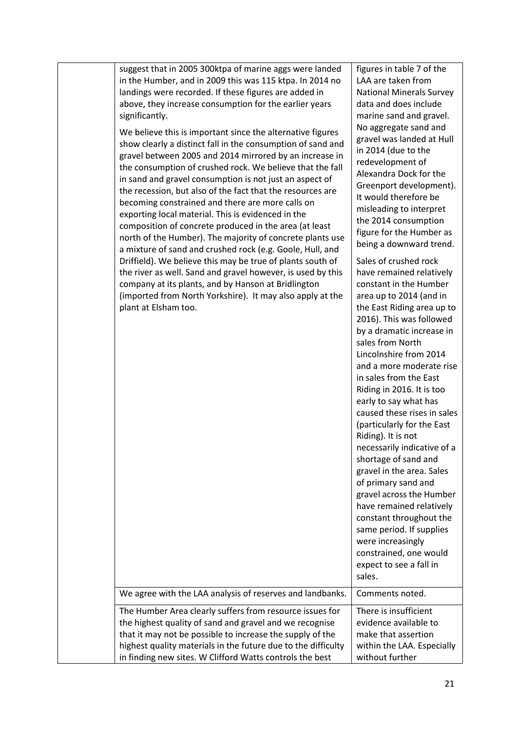| suggest that in 2005 300ktpa of marine aggs were landed<br>in the Humber, and in 2009 this was 115 ktpa. In 2014 no<br>landings were recorded. If these figures are added in<br>above, they increase consumption for the earlier years<br>significantly.<br>We believe this is important since the alternative figures<br>show clearly a distinct fall in the consumption of sand and<br>gravel between 2005 and 2014 mirrored by an increase in<br>the consumption of crushed rock. We believe that the fall<br>in sand and gravel consumption is not just an aspect of<br>the recession, but also of the fact that the resources are<br>becoming constrained and there are more calls on<br>exporting local material. This is evidenced in the<br>composition of concrete produced in the area (at least<br>north of the Humber). The majority of concrete plants use<br>a mixture of sand and crushed rock (e.g. Goole, Hull, and<br>Driffield). We believe this may be true of plants south of<br>the river as well. Sand and gravel however, is used by this<br>company at its plants, and by Hanson at Bridlington<br>(imported from North Yorkshire). It may also apply at the<br>plant at Elsham too.<br>We agree with the LAA analysis of reserves and landbanks. | figures in table 7 of the<br>LAA are taken from<br><b>National Minerals Survey</b><br>data and does include<br>marine sand and gravel.<br>No aggregate sand and<br>gravel was landed at Hull<br>in 2014 (due to the<br>redevelopment of<br>Alexandra Dock for the<br>Greenport development).<br>It would therefore be<br>misleading to interpret<br>the 2014 consumption<br>figure for the Humber as<br>being a downward trend.<br>Sales of crushed rock<br>have remained relatively<br>constant in the Humber<br>area up to 2014 (and in<br>the East Riding area up to<br>2016). This was followed<br>by a dramatic increase in<br>sales from North<br>Lincolnshire from 2014<br>and a more moderate rise<br>in sales from the East<br>Riding in 2016. It is too<br>early to say what has<br>caused these rises in sales<br>(particularly for the East<br>Riding). It is not<br>necessarily indicative of a<br>shortage of sand and<br>gravel in the area. Sales<br>of primary sand and<br>gravel across the Humber<br>have remained relatively<br>constant throughout the<br>same period. If supplies<br>were increasingly<br>constrained, one would<br>expect to see a fall in<br>sales.<br>Comments noted. |
|----------------------------------------------------------------------------------------------------------------------------------------------------------------------------------------------------------------------------------------------------------------------------------------------------------------------------------------------------------------------------------------------------------------------------------------------------------------------------------------------------------------------------------------------------------------------------------------------------------------------------------------------------------------------------------------------------------------------------------------------------------------------------------------------------------------------------------------------------------------------------------------------------------------------------------------------------------------------------------------------------------------------------------------------------------------------------------------------------------------------------------------------------------------------------------------------------------------------------------------------------------------------------|----------------------------------------------------------------------------------------------------------------------------------------------------------------------------------------------------------------------------------------------------------------------------------------------------------------------------------------------------------------------------------------------------------------------------------------------------------------------------------------------------------------------------------------------------------------------------------------------------------------------------------------------------------------------------------------------------------------------------------------------------------------------------------------------------------------------------------------------------------------------------------------------------------------------------------------------------------------------------------------------------------------------------------------------------------------------------------------------------------------------------------------------------------------------------------------------------------------|
| The Humber Area clearly suffers from resource issues for                                                                                                                                                                                                                                                                                                                                                                                                                                                                                                                                                                                                                                                                                                                                                                                                                                                                                                                                                                                                                                                                                                                                                                                                                   | There is insufficient                                                                                                                                                                                                                                                                                                                                                                                                                                                                                                                                                                                                                                                                                                                                                                                                                                                                                                                                                                                                                                                                                                                                                                                          |
| the highest quality of sand and gravel and we recognise<br>that it may not be possible to increase the supply of the<br>highest quality materials in the future due to the difficulty<br>in finding new sites. W Clifford Watts controls the best                                                                                                                                                                                                                                                                                                                                                                                                                                                                                                                                                                                                                                                                                                                                                                                                                                                                                                                                                                                                                          | evidence available to<br>make that assertion<br>within the LAA. Especially<br>without further                                                                                                                                                                                                                                                                                                                                                                                                                                                                                                                                                                                                                                                                                                                                                                                                                                                                                                                                                                                                                                                                                                                  |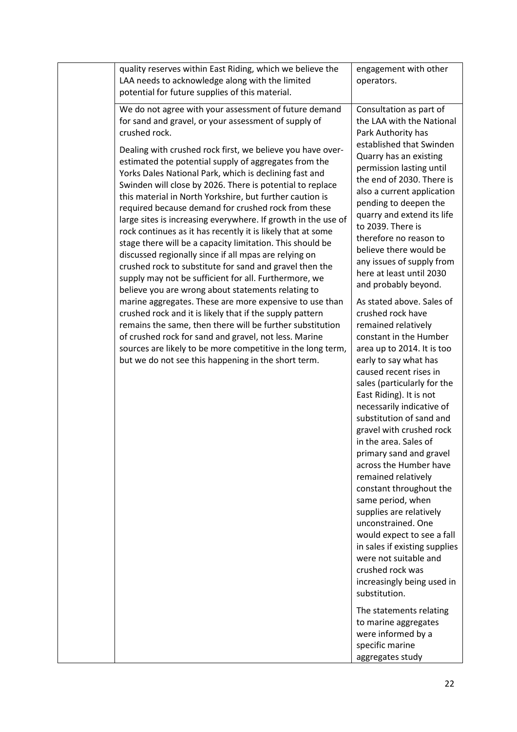| quality reserves within East Riding, which we believe the<br>LAA needs to acknowledge along with the limited<br>potential for future supplies of this material.                                                                                                                                                                                                                                                                                                                                                                                                                                                                                                                                                                                                                                                                                                                                                                                                                                                                                                                                                                                                  | engagement with other<br>operators.                                                                                                                                                                                                                                                                                                                                                                                                                                                                                                                                                                                                                                                                                                                                                                                                                                                                                                                                                                                                                            |
|------------------------------------------------------------------------------------------------------------------------------------------------------------------------------------------------------------------------------------------------------------------------------------------------------------------------------------------------------------------------------------------------------------------------------------------------------------------------------------------------------------------------------------------------------------------------------------------------------------------------------------------------------------------------------------------------------------------------------------------------------------------------------------------------------------------------------------------------------------------------------------------------------------------------------------------------------------------------------------------------------------------------------------------------------------------------------------------------------------------------------------------------------------------|----------------------------------------------------------------------------------------------------------------------------------------------------------------------------------------------------------------------------------------------------------------------------------------------------------------------------------------------------------------------------------------------------------------------------------------------------------------------------------------------------------------------------------------------------------------------------------------------------------------------------------------------------------------------------------------------------------------------------------------------------------------------------------------------------------------------------------------------------------------------------------------------------------------------------------------------------------------------------------------------------------------------------------------------------------------|
| We do not agree with your assessment of future demand<br>for sand and gravel, or your assessment of supply of<br>crushed rock.                                                                                                                                                                                                                                                                                                                                                                                                                                                                                                                                                                                                                                                                                                                                                                                                                                                                                                                                                                                                                                   | Consultation as part of<br>the LAA with the National<br>Park Authority has                                                                                                                                                                                                                                                                                                                                                                                                                                                                                                                                                                                                                                                                                                                                                                                                                                                                                                                                                                                     |
| Dealing with crushed rock first, we believe you have over-<br>estimated the potential supply of aggregates from the<br>Yorks Dales National Park, which is declining fast and<br>Swinden will close by 2026. There is potential to replace<br>this material in North Yorkshire, but further caution is<br>required because demand for crushed rock from these<br>large sites is increasing everywhere. If growth in the use of<br>rock continues as it has recently it is likely that at some<br>stage there will be a capacity limitation. This should be<br>discussed regionally since if all mpas are relying on<br>crushed rock to substitute for sand and gravel then the<br>supply may not be sufficient for all. Furthermore, we<br>believe you are wrong about statements relating to<br>marine aggregates. These are more expensive to use than<br>crushed rock and it is likely that if the supply pattern<br>remains the same, then there will be further substitution<br>of crushed rock for sand and gravel, not less. Marine<br>sources are likely to be more competitive in the long term,<br>but we do not see this happening in the short term. | established that Swinden<br>Quarry has an existing<br>permission lasting until<br>the end of 2030. There is<br>also a current application<br>pending to deepen the<br>quarry and extend its life<br>to 2039. There is<br>therefore no reason to<br>believe there would be<br>any issues of supply from<br>here at least until 2030<br>and probably beyond.<br>As stated above. Sales of<br>crushed rock have<br>remained relatively<br>constant in the Humber<br>area up to 2014. It is too<br>early to say what has<br>caused recent rises in<br>sales (particularly for the<br>East Riding). It is not<br>necessarily indicative of<br>substitution of sand and<br>gravel with crushed rock<br>in the area. Sales of<br>primary sand and gravel<br>across the Humber have<br>remained relatively<br>constant throughout the<br>same period, when<br>supplies are relatively<br>unconstrained. One<br>would expect to see a fall<br>in sales if existing supplies<br>were not suitable and<br>crushed rock was<br>increasingly being used in<br>substitution. |
|                                                                                                                                                                                                                                                                                                                                                                                                                                                                                                                                                                                                                                                                                                                                                                                                                                                                                                                                                                                                                                                                                                                                                                  | The statements relating<br>to marine aggregates<br>were informed by a<br>specific marine<br>aggregates study                                                                                                                                                                                                                                                                                                                                                                                                                                                                                                                                                                                                                                                                                                                                                                                                                                                                                                                                                   |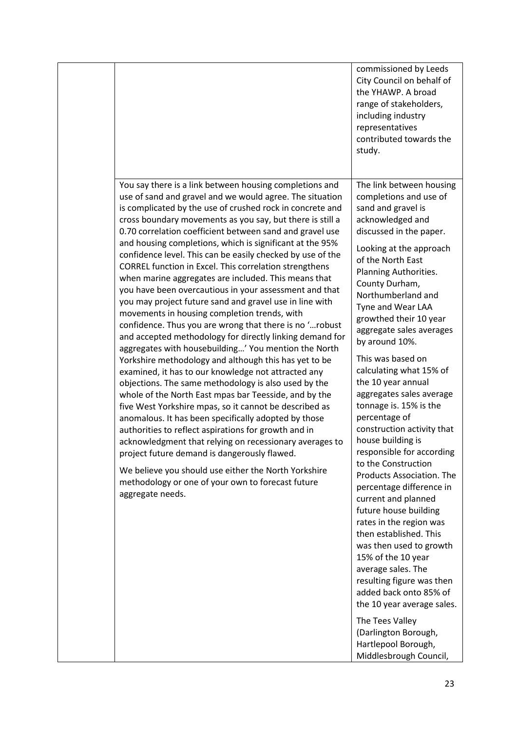|                                                                                                                                                                                                                                                                                                                                                                                                                                                                                                                                                                                                                                                                                                                                                                                                                                                                                                                                                                                                                                                                                                                                                                                                                                                                                                                                                                                                                                                                                                                                                                  | commissioned by Leeds<br>City Council on behalf of<br>the YHAWP. A broad<br>range of stakeholders,<br>including industry<br>representatives<br>contributed towards the<br>study.                                                                                                                                                                                                                                                                                                                                                                                                                                                                                                                                                                                                                                                                                                                                                                                                                                |
|------------------------------------------------------------------------------------------------------------------------------------------------------------------------------------------------------------------------------------------------------------------------------------------------------------------------------------------------------------------------------------------------------------------------------------------------------------------------------------------------------------------------------------------------------------------------------------------------------------------------------------------------------------------------------------------------------------------------------------------------------------------------------------------------------------------------------------------------------------------------------------------------------------------------------------------------------------------------------------------------------------------------------------------------------------------------------------------------------------------------------------------------------------------------------------------------------------------------------------------------------------------------------------------------------------------------------------------------------------------------------------------------------------------------------------------------------------------------------------------------------------------------------------------------------------------|-----------------------------------------------------------------------------------------------------------------------------------------------------------------------------------------------------------------------------------------------------------------------------------------------------------------------------------------------------------------------------------------------------------------------------------------------------------------------------------------------------------------------------------------------------------------------------------------------------------------------------------------------------------------------------------------------------------------------------------------------------------------------------------------------------------------------------------------------------------------------------------------------------------------------------------------------------------------------------------------------------------------|
| You say there is a link between housing completions and<br>use of sand and gravel and we would agree. The situation<br>is complicated by the use of crushed rock in concrete and<br>cross boundary movements as you say, but there is still a<br>0.70 correlation coefficient between sand and gravel use<br>and housing completions, which is significant at the 95%<br>confidence level. This can be easily checked by use of the<br>CORREL function in Excel. This correlation strengthens<br>when marine aggregates are included. This means that<br>you have been overcautious in your assessment and that<br>you may project future sand and gravel use in line with<br>movements in housing completion trends, with<br>confidence. Thus you are wrong that there is no 'robust<br>and accepted methodology for directly linking demand for<br>aggregates with housebuilding' You mention the North<br>Yorkshire methodology and although this has yet to be<br>examined, it has to our knowledge not attracted any<br>objections. The same methodology is also used by the<br>whole of the North East mpas bar Teesside, and by the<br>five West Yorkshire mpas, so it cannot be described as<br>anomalous. It has been specifically adopted by those<br>authorities to reflect aspirations for growth and in<br>acknowledgment that relying on recessionary averages to<br>project future demand is dangerously flawed.<br>We believe you should use either the North Yorkshire<br>methodology or one of your own to forecast future<br>aggregate needs. | The link between housing<br>completions and use of<br>sand and gravel is<br>acknowledged and<br>discussed in the paper.<br>Looking at the approach<br>of the North East<br>Planning Authorities.<br>County Durham,<br>Northumberland and<br>Tyne and Wear LAA<br>growthed their 10 year<br>aggregate sales averages<br>by around 10%.<br>This was based on<br>calculating what 15% of<br>the 10 year annual<br>aggregates sales average<br>tonnage is. 15% is the<br>percentage of<br>construction activity that<br>house building is<br>responsible for according<br>to the Construction<br>Products Association. The<br>percentage difference in<br>current and planned<br>future house building<br>rates in the region was<br>then established. This<br>was then used to growth<br>15% of the 10 year<br>average sales. The<br>resulting figure was then<br>added back onto 85% of<br>the 10 year average sales.<br>The Tees Valley<br>(Darlington Borough,<br>Hartlepool Borough,<br>Middlesbrough Council, |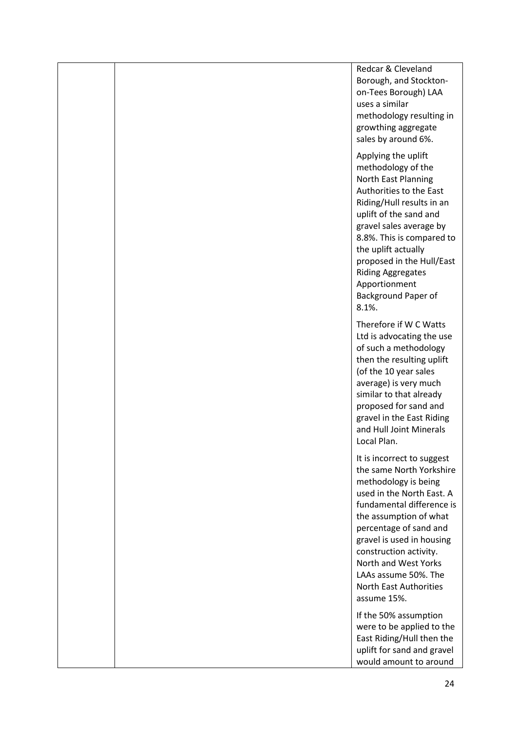Redcar & Cleveland Borough, and Stocktonon-Tees Borough) LAA uses a similar methodology resulting in growthing aggregate sales by around 6%. Applying the uplift methodology of the North East Planning Authorities to the East Riding/Hull results in an uplift of the sand and gravel sales average by 8.8%. This is compared to the uplift actually proposed in the Hull/East Riding Aggregates Apportionment Background Paper of 8.1%. Therefore if W C Watts Ltd is advocating the use of such a methodology then the resulting uplift (of the 10 year sales average) is very much similar to that already proposed for sand and gravel in the East Riding and Hull Joint Minerals Local Plan. It is incorrect to suggest the same North Yorkshire methodology is being used in the North East. A fundamental difference is the assumption of what percentage of sand and gravel is used in housing construction activity. North and West Yorks LAAs assume 50%. The North East Authorities assume 15%. If the 50% assumption were to be applied to the East Riding/Hull then the uplift for sand and gravel would amount to around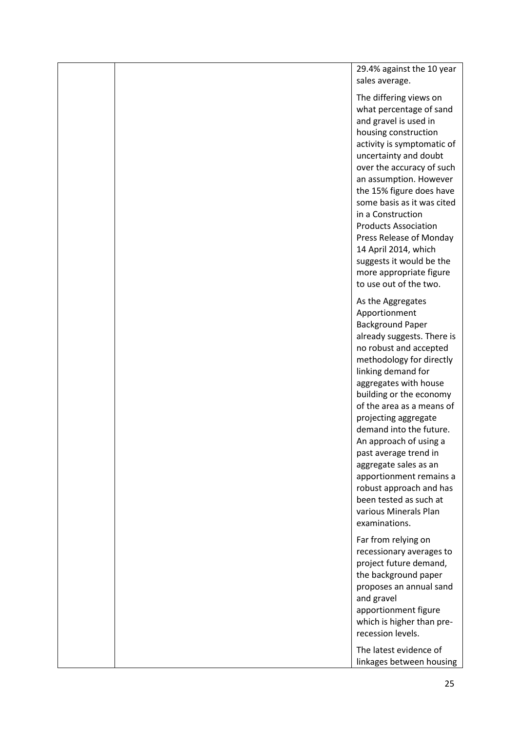29.4% against the 10 year sales average.

The differing views on what percentage of sand and gravel is used in housing construction activity is symptomatic of uncertainty and doubt over the accuracy of such an assumption. However the 15% figure does have some basis as it was cited in a Construction Products Association Press Release of Monday 14 April 2014, which suggests it would be the more appropriate figure to use out of the two.

As the Aggregates Apportionment Background Paper already suggests. There is no robust and accepted methodology for directly linking demand for aggregates with house building or the economy of the area as a means of projecting aggregate demand into the future. An approach of using a past average trend in aggregate sales as an apportionment remains a robust approach and has been tested as such at various Minerals Plan examinations.

Far from relying on recessionary averages to project future demand, the background paper proposes an annual sand and gravel apportionment figure which is higher than prerecession levels.

The latest evidence of linkages between housing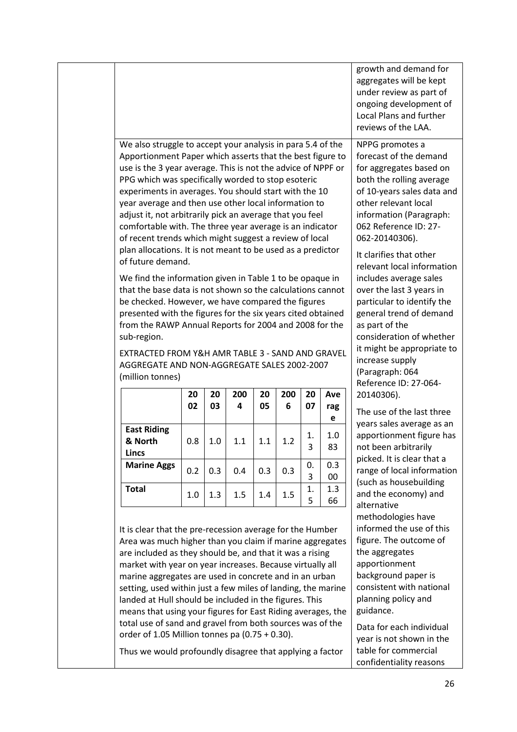|                                                                                                                                                                                                                                                                                                                                                                                                                                                                                                                                                                                                                  |          |                                                   |                | growth and demand for<br>aggregates will be kept<br>under review as part of<br>ongoing development of<br>Local Plans and further<br>reviews of the LAA.                                                                                                                               |  |
|------------------------------------------------------------------------------------------------------------------------------------------------------------------------------------------------------------------------------------------------------------------------------------------------------------------------------------------------------------------------------------------------------------------------------------------------------------------------------------------------------------------------------------------------------------------------------------------------------------------|----------|---------------------------------------------------|----------------|---------------------------------------------------------------------------------------------------------------------------------------------------------------------------------------------------------------------------------------------------------------------------------------|--|
| We also struggle to accept your analysis in para 5.4 of the<br>Apportionment Paper which asserts that the best figure to<br>use is the 3 year average. This is not the advice of NPPF or<br>PPG which was specifically worded to stop esoteric<br>experiments in averages. You should start with the 10<br>year average and then use other local information to<br>adjust it, not arbitrarily pick an average that you feel<br>comfortable with. The three year average is an indicator<br>of recent trends which might suggest a review of local<br>plan allocations. It is not meant to be used as a predictor |          |                                                   |                | NPPG promotes a<br>forecast of the demand<br>for aggregates based on<br>both the rolling average<br>of 10-years sales data and<br>other relevant local<br>information (Paragraph:<br>062 Reference ID: 27-<br>062-20140306).<br>It clarifies that other<br>relevant local information |  |
| We find the information given in Table 1 to be opaque in<br>that the base data is not shown so the calculations cannot<br>be checked. However, we have compared the figures<br>presented with the figures for the six years cited obtained<br>from the RAWP Annual Reports for 2004 and 2008 for the<br>sub-region.<br>EXTRACTED FROM Y&H AMR TABLE 3 - SAND AND GRAVEL<br>AGGREGATE AND NON-AGGREGATE SALES 2002-2007<br>(million tonnes)                                                                                                                                                                       |          |                                                   |                |                                                                                                                                                                                                                                                                                       |  |
| 200<br>20<br>4<br>05                                                                                                                                                                                                                                                                                                                                                                                                                                                                                                                                                                                             | 200<br>6 | 20<br>07                                          | Ave<br>rag     | Reference ID: 27-064-<br>20140306).<br>The use of the last three                                                                                                                                                                                                                      |  |
| 1.1<br>1.1                                                                                                                                                                                                                                                                                                                                                                                                                                                                                                                                                                                                       | 1.2      | 1.<br>3                                           | е<br>1.0<br>83 | years sales average as an<br>apportionment figure has<br>not been arbitrarily                                                                                                                                                                                                         |  |
| 0.4<br>0.3                                                                                                                                                                                                                                                                                                                                                                                                                                                                                                                                                                                                       | 0.3      | 0.<br>3                                           | 0.3<br>00      | picked. It is clear that a<br>range of local information<br>(such as housebuilding                                                                                                                                                                                                    |  |
| 1.5<br>1.4                                                                                                                                                                                                                                                                                                                                                                                                                                                                                                                                                                                                       | 1.5      | 1.<br>5                                           | 1.3<br>66      | and the economy) and<br>alternative                                                                                                                                                                                                                                                   |  |
| It is clear that the pre-recession average for the Humber<br>Area was much higher than you claim if marine aggregates<br>are included as they should be, and that it was a rising<br>market with year on year increases. Because virtually all<br>marine aggregates are used in concrete and in an urban<br>setting, used within just a few miles of landing, the marine<br>landed at Hull should be included in the figures. This<br>means that using your figures for East Riding averages, the                                                                                                                |          |                                                   |                | methodologies have<br>informed the use of this<br>figure. The outcome of<br>the aggregates<br>apportionment<br>background paper is<br>consistent with national<br>planning policy and<br>guidance.<br>Data for each individual<br>year is not shown in the                            |  |
|                                                                                                                                                                                                                                                                                                                                                                                                                                                                                                                                                                                                                  |          | order of 1.05 Million tonnes pa $(0.75 + 0.30)$ . |                | total use of sand and gravel from both sources was of the<br>Thus we would profoundly disagree that applying a factor                                                                                                                                                                 |  |

confidentiality reasons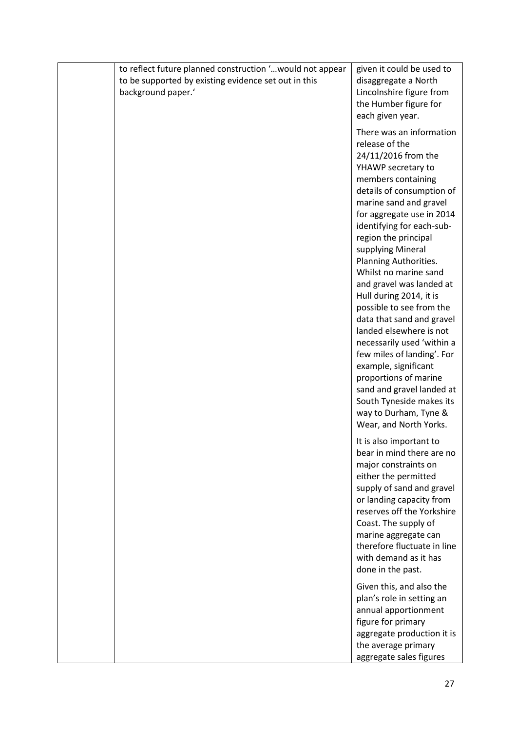|  | to reflect future planned construction ' would not appear<br>to be supported by existing evidence set out in this<br>background paper.' | given it could be used to<br>disaggregate a North<br>Lincolnshire figure from<br>the Humber figure for<br>each given year.                                                                                                                                                                                                                                                                                                                                                                                                                                                                                                                                                                        |
|--|-----------------------------------------------------------------------------------------------------------------------------------------|---------------------------------------------------------------------------------------------------------------------------------------------------------------------------------------------------------------------------------------------------------------------------------------------------------------------------------------------------------------------------------------------------------------------------------------------------------------------------------------------------------------------------------------------------------------------------------------------------------------------------------------------------------------------------------------------------|
|  |                                                                                                                                         | There was an information<br>release of the<br>24/11/2016 from the<br>YHAWP secretary to<br>members containing<br>details of consumption of<br>marine sand and gravel<br>for aggregate use in 2014<br>identifying for each-sub-<br>region the principal<br>supplying Mineral<br>Planning Authorities.<br>Whilst no marine sand<br>and gravel was landed at<br>Hull during 2014, it is<br>possible to see from the<br>data that sand and gravel<br>landed elsewhere is not<br>necessarily used 'within a<br>few miles of landing'. For<br>example, significant<br>proportions of marine<br>sand and gravel landed at<br>South Tyneside makes its<br>way to Durham, Tyne &<br>Wear, and North Yorks. |
|  |                                                                                                                                         | It is also important to<br>bear in mind there are no<br>major constraints on<br>either the permitted<br>supply of sand and gravel<br>or landing capacity from<br>reserves off the Yorkshire<br>Coast. The supply of<br>marine aggregate can<br>therefore fluctuate in line<br>with demand as it has<br>done in the past.                                                                                                                                                                                                                                                                                                                                                                          |
|  |                                                                                                                                         | Given this, and also the<br>plan's role in setting an<br>annual apportionment<br>figure for primary<br>aggregate production it is<br>the average primary<br>aggregate sales figures                                                                                                                                                                                                                                                                                                                                                                                                                                                                                                               |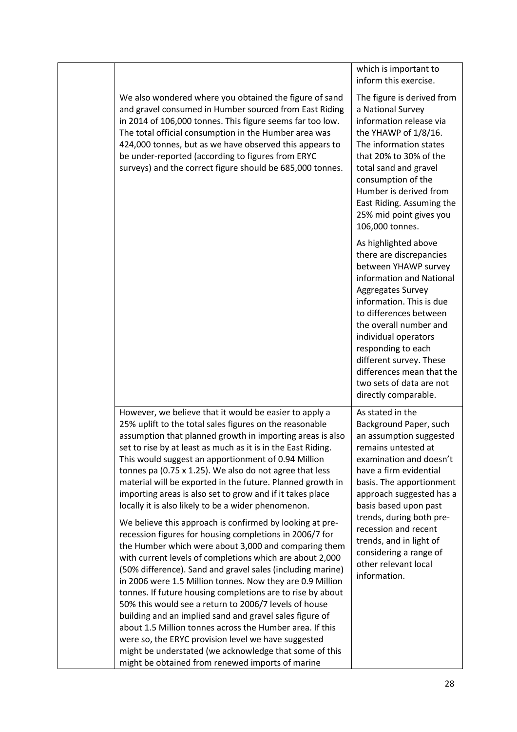|                                                                                                                                                                                                                                                                                                                                                                                                                                                                                                                                                                                                                                                                                                                                   | which is important to                                                                                                                                                                                                                                                                                                                                              |
|-----------------------------------------------------------------------------------------------------------------------------------------------------------------------------------------------------------------------------------------------------------------------------------------------------------------------------------------------------------------------------------------------------------------------------------------------------------------------------------------------------------------------------------------------------------------------------------------------------------------------------------------------------------------------------------------------------------------------------------|--------------------------------------------------------------------------------------------------------------------------------------------------------------------------------------------------------------------------------------------------------------------------------------------------------------------------------------------------------------------|
|                                                                                                                                                                                                                                                                                                                                                                                                                                                                                                                                                                                                                                                                                                                                   | inform this exercise.                                                                                                                                                                                                                                                                                                                                              |
| We also wondered where you obtained the figure of sand<br>and gravel consumed in Humber sourced from East Riding<br>in 2014 of 106,000 tonnes. This figure seems far too low.<br>The total official consumption in the Humber area was<br>424,000 tonnes, but as we have observed this appears to<br>be under-reported (according to figures from ERYC<br>surveys) and the correct figure should be 685,000 tonnes.                                                                                                                                                                                                                                                                                                               | The figure is derived from<br>a National Survey<br>information release via<br>the YHAWP of 1/8/16.<br>The information states<br>that 20% to 30% of the<br>total sand and gravel<br>consumption of the<br>Humber is derived from<br>East Riding. Assuming the<br>25% mid point gives you<br>106,000 tonnes.                                                         |
|                                                                                                                                                                                                                                                                                                                                                                                                                                                                                                                                                                                                                                                                                                                                   | As highlighted above<br>there are discrepancies<br>between YHAWP survey<br>information and National<br>Aggregates Survey<br>information. This is due<br>to differences between<br>the overall number and<br>individual operators<br>responding to each<br>different survey. These<br>differences mean that the<br>two sets of data are not<br>directly comparable. |
| However, we believe that it would be easier to apply a<br>25% uplift to the total sales figures on the reasonable<br>assumption that planned growth in importing areas is also<br>set to rise by at least as much as it is in the East Riding.<br>This would suggest an apportionment of 0.94 Million<br>tonnes pa (0.75 x 1.25). We also do not agree that less<br>material will be exported in the future. Planned growth in<br>importing areas is also set to grow and if it takes place<br>locally it is also likely to be a wider phenomenon.<br>We believe this approach is confirmed by looking at pre-<br>recession figures for housing completions in 2006/7 for<br>the Humber which were about 3,000 and comparing them | As stated in the<br>Background Paper, such<br>an assumption suggested<br>remains untested at<br>examination and doesn't<br>have a firm evidential<br>basis. The apportionment<br>approach suggested has a<br>basis based upon past<br>trends, during both pre-<br>recession and recent<br>trends, and in light of                                                  |
| with current levels of completions which are about 2,000<br>(50% difference). Sand and gravel sales (including marine)<br>in 2006 were 1.5 Million tonnes. Now they are 0.9 Million<br>tonnes. If future housing completions are to rise by about<br>50% this would see a return to 2006/7 levels of house<br>building and an implied sand and gravel sales figure of<br>about 1.5 Million tonnes across the Humber area. If this<br>were so, the ERYC provision level we have suggested<br>might be understated (we acknowledge that some of this<br>might be obtained from renewed imports of marine                                                                                                                            | considering a range of<br>other relevant local<br>information.                                                                                                                                                                                                                                                                                                     |